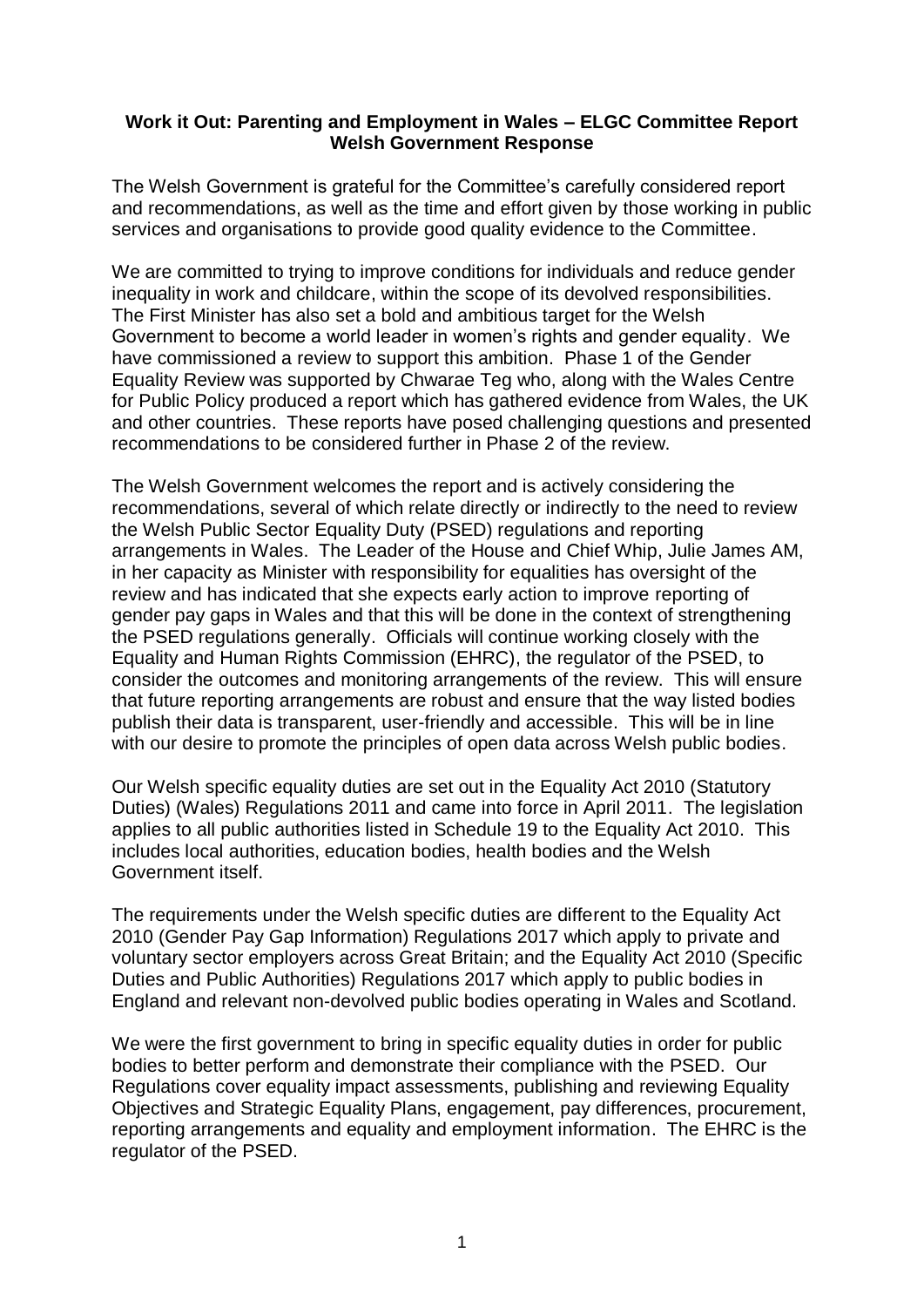## **Work it Out: Parenting and Employment in Wales – ELGC Committee Report Welsh Government Response**

The Welsh Government is grateful for the Committee's carefully considered report and recommendations, as well as the time and effort given by those working in public services and organisations to provide good quality evidence to the Committee.

We are committed to trying to improve conditions for individuals and reduce gender inequality in work and childcare, within the scope of its devolved responsibilities. The First Minister has also set a bold and ambitious target for the Welsh Government to become a world leader in women's rights and gender equality. We have commissioned a review to support this ambition. Phase 1 of the Gender Equality Review was supported by Chwarae Teg who, along with the Wales Centre for Public Policy produced a report which has gathered evidence from Wales, the UK and other countries. These reports have posed challenging questions and presented recommendations to be considered further in Phase 2 of the review.

The Welsh Government welcomes the report and is actively considering the recommendations, several of which relate directly or indirectly to the need to review the Welsh Public Sector Equality Duty (PSED) regulations and reporting arrangements in Wales. The Leader of the House and Chief Whip, Julie James AM, in her capacity as Minister with responsibility for equalities has oversight of the review and has indicated that she expects early action to improve reporting of gender pay gaps in Wales and that this will be done in the context of strengthening the PSED regulations generally. Officials will continue working closely with the Equality and Human Rights Commission (EHRC), the regulator of the PSED, to consider the outcomes and monitoring arrangements of the review. This will ensure that future reporting arrangements are robust and ensure that the way listed bodies publish their data is transparent, user-friendly and accessible. This will be in line with our desire to promote the principles of open data across Welsh public bodies.

Our Welsh specific equality duties are set out in the Equality Act 2010 (Statutory Duties) (Wales) Regulations 2011 and came into force in April 2011. The legislation applies to all public authorities listed in Schedule 19 to the Equality Act 2010. This includes local authorities, education bodies, health bodies and the Welsh Government itself.

The requirements under the Welsh specific duties are different to the Equality Act 2010 (Gender Pay Gap Information) Regulations 2017 which apply to private and voluntary sector employers across Great Britain; and the Equality Act 2010 (Specific Duties and Public Authorities) Regulations 2017 which apply to public bodies in England and relevant non-devolved public bodies operating in Wales and Scotland.

We were the first government to bring in specific equality duties in order for public bodies to better perform and demonstrate their compliance with the PSED. Our Regulations cover equality impact assessments, publishing and reviewing Equality Objectives and Strategic Equality Plans, engagement, pay differences, procurement, reporting arrangements and equality and employment information. The EHRC is the regulator of the PSED.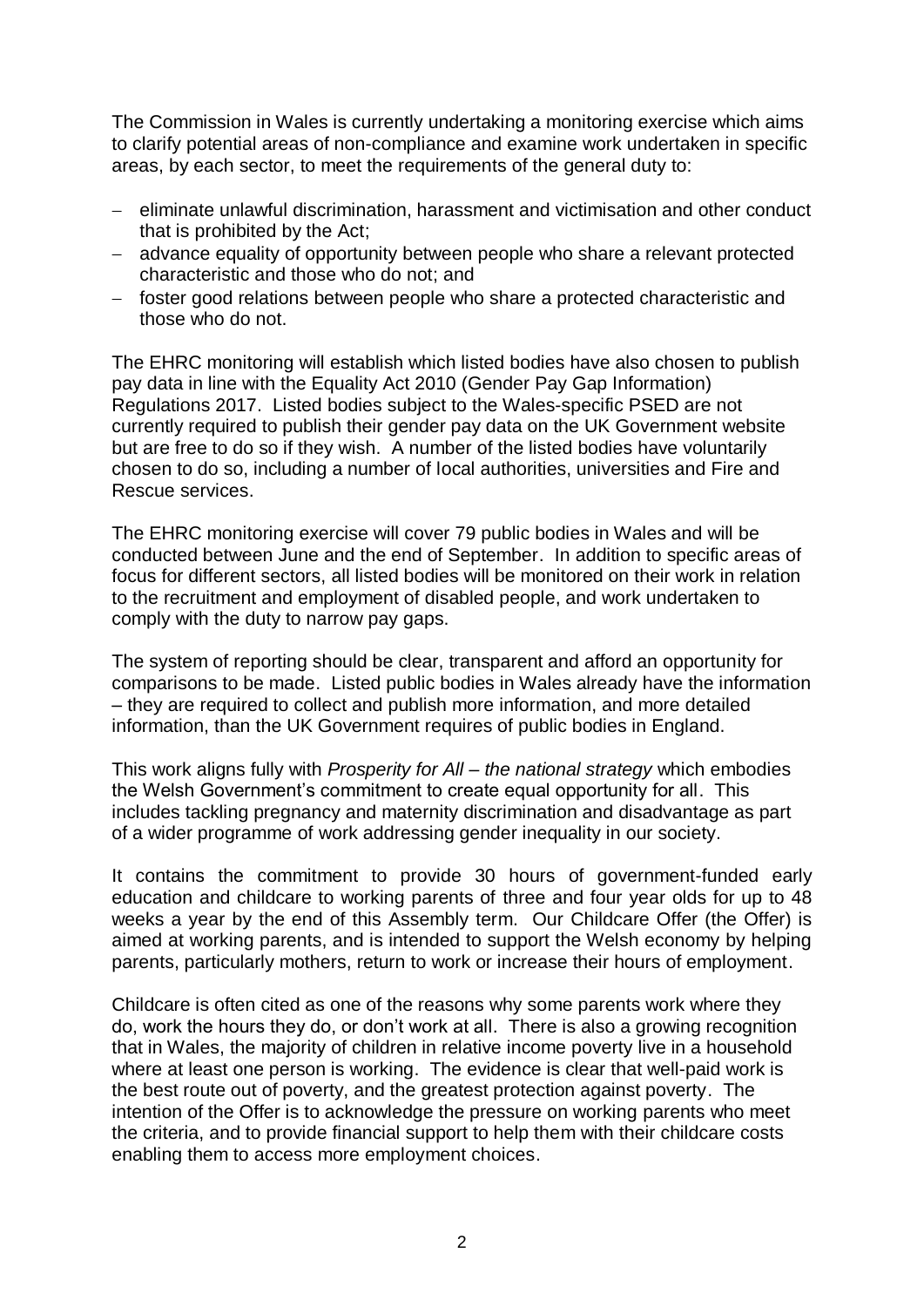The Commission in Wales is currently undertaking a monitoring exercise which aims to clarify potential areas of non-compliance and examine work undertaken in specific areas, by each sector, to meet the requirements of the general duty to:

- eliminate unlawful discrimination, harassment and victimisation and other conduct that is prohibited by the Act;
- advance equality of opportunity between people who share a relevant protected characteristic and those who do not; and
- foster good relations between people who share a protected characteristic and those who do not.

The EHRC monitoring will establish which listed bodies have also chosen to publish pay data in line with the Equality Act 2010 (Gender Pay Gap Information) Regulations 2017. Listed bodies subject to the Wales-specific PSED are not currently required to publish their gender pay data on the UK Government website but are free to do so if they wish. A number of the listed bodies have voluntarily chosen to do so, including a number of local authorities, universities and Fire and Rescue services.

The EHRC monitoring exercise will cover 79 public bodies in Wales and will be conducted between June and the end of September. In addition to specific areas of focus for different sectors, all listed bodies will be monitored on their work in relation to the recruitment and employment of disabled people, and work undertaken to comply with the duty to narrow pay gaps.

The system of reporting should be clear, transparent and afford an opportunity for comparisons to be made. Listed public bodies in Wales already have the information – they are required to collect and publish more information, and more detailed information, than the UK Government requires of public bodies in England.

This work aligns fully with *Prosperity for All – the national strategy* which embodies the Welsh Government's commitment to create equal opportunity for all. This includes tackling pregnancy and maternity discrimination and disadvantage as part of a wider programme of work addressing gender inequality in our society.

It contains the commitment to provide 30 hours of government-funded early education and childcare to working parents of three and four year olds for up to 48 weeks a year by the end of this Assembly term. Our Childcare Offer (the Offer) is aimed at working parents, and is intended to support the Welsh economy by helping parents, particularly mothers, return to work or increase their hours of employment.

Childcare is often cited as one of the reasons why some parents work where they do, work the hours they do, or don't work at all. There is also a growing recognition that in Wales, the majority of children in relative income poverty live in a household where at least one person is working. The evidence is clear that well-paid work is the best route out of poverty, and the greatest protection against poverty. The intention of the Offer is to acknowledge the pressure on working parents who meet the criteria, and to provide financial support to help them with their childcare costs enabling them to access more employment choices.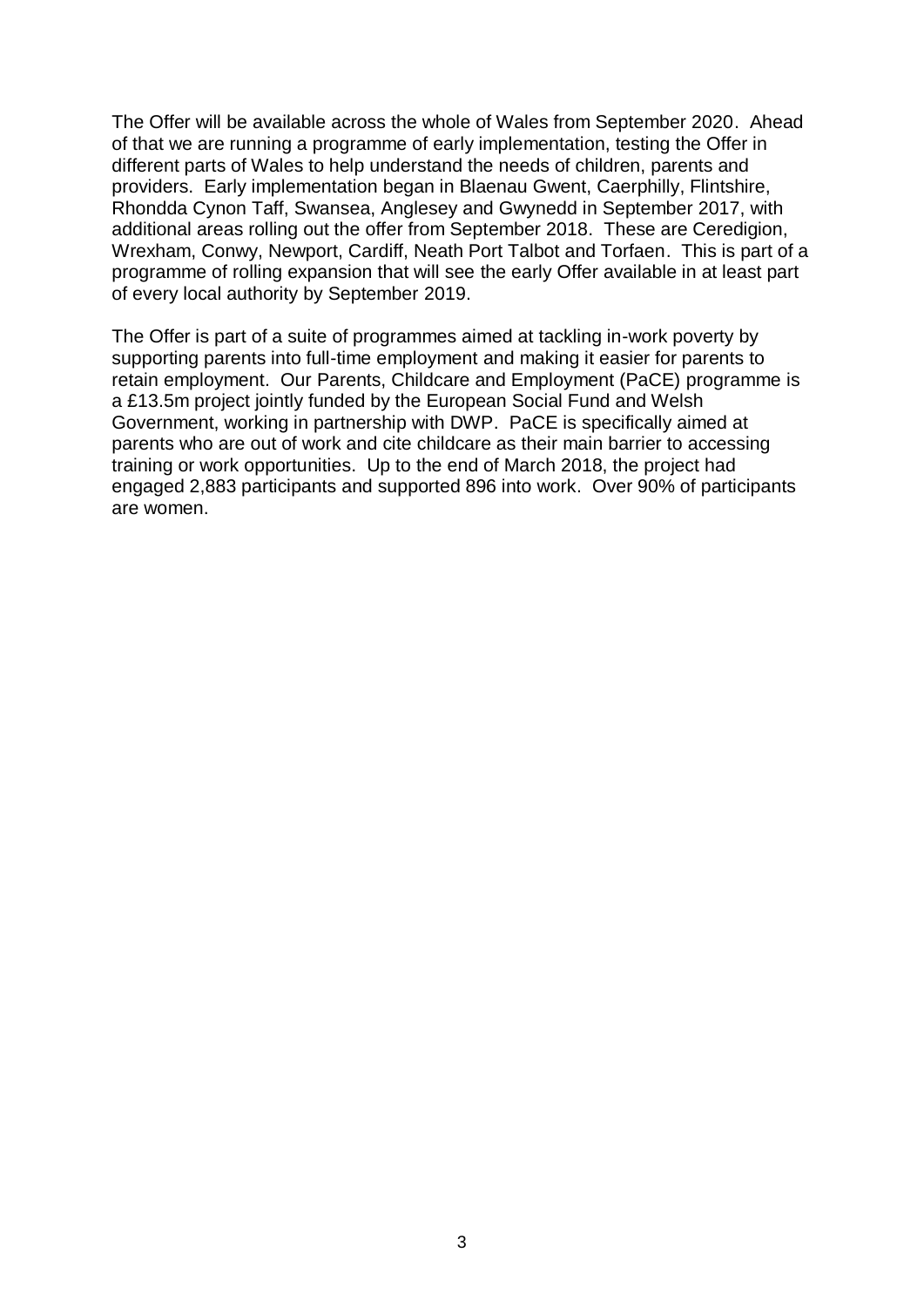The Offer will be available across the whole of Wales from September 2020. Ahead of that we are running a programme of early implementation, testing the Offer in different parts of Wales to help understand the needs of children, parents and providers. Early implementation began in Blaenau Gwent, Caerphilly, Flintshire, Rhondda Cynon Taff, Swansea, Anglesey and Gwynedd in September 2017, with additional areas rolling out the offer from September 2018. These are Ceredigion, Wrexham, Conwy, Newport, Cardiff, Neath Port Talbot and Torfaen. This is part of a programme of rolling expansion that will see the early Offer available in at least part of every local authority by September 2019.

The Offer is part of a suite of programmes aimed at tackling in-work poverty by supporting parents into full-time employment and making it easier for parents to retain employment. Our Parents, Childcare and Employment (PaCE) programme is a £13.5m project jointly funded by the European Social Fund and Welsh Government, working in partnership with DWP. PaCE is specifically aimed at parents who are out of work and cite childcare as their main barrier to accessing training or work opportunities. Up to the end of March 2018, the project had engaged 2,883 participants and supported 896 into work. Over 90% of participants are women.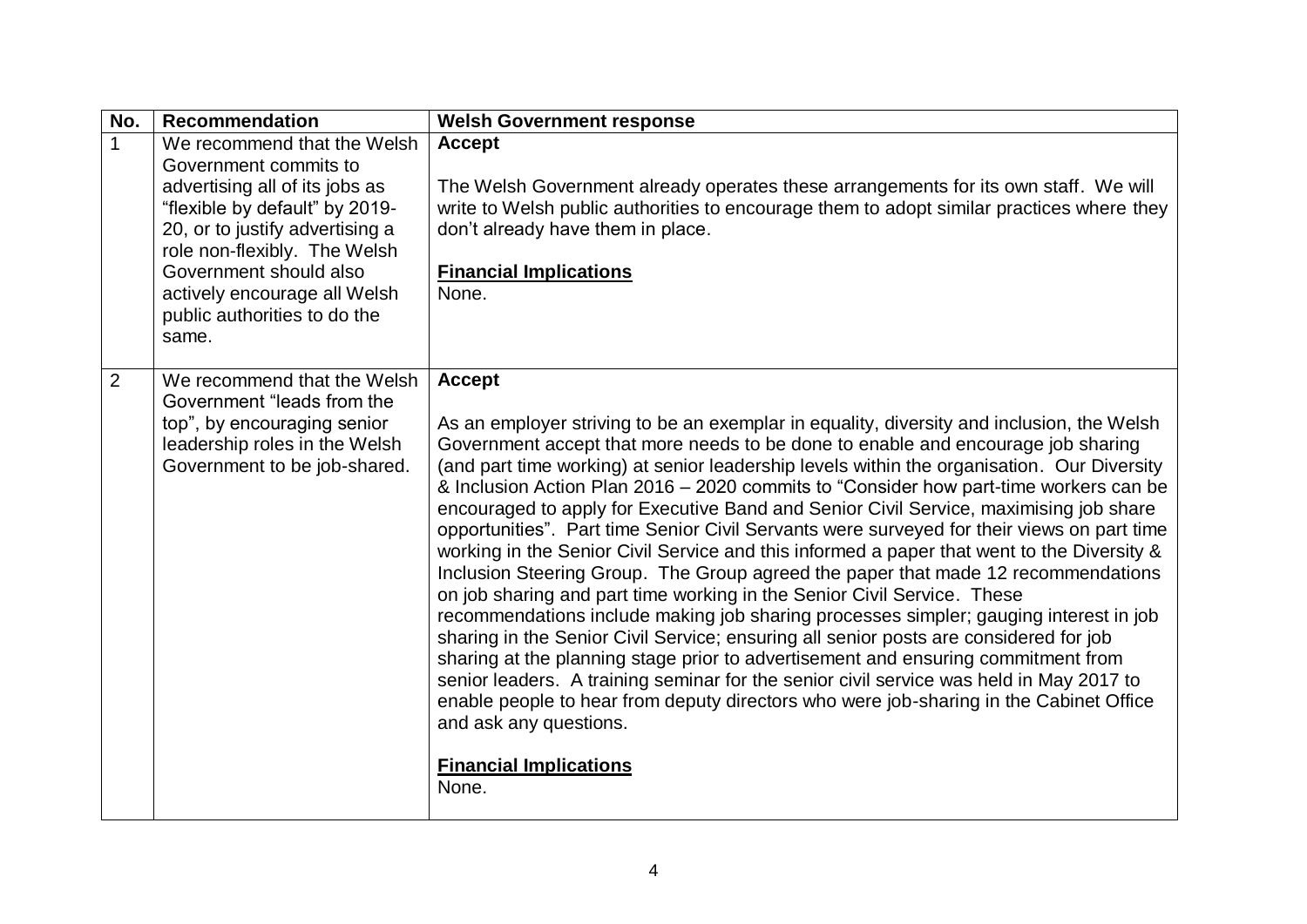| No.                   | <b>Recommendation</b>                                                                                                                                                                                                                                                                 | <b>Welsh Government response</b>                                                                                                                                                                                                                                                                                                                                                                                                                                                                                                                                                                                                                                                                                                                                                                                                                                                                                                                                                                                                                                                                                                                                                                                                                                                                                                                                           |
|-----------------------|---------------------------------------------------------------------------------------------------------------------------------------------------------------------------------------------------------------------------------------------------------------------------------------|----------------------------------------------------------------------------------------------------------------------------------------------------------------------------------------------------------------------------------------------------------------------------------------------------------------------------------------------------------------------------------------------------------------------------------------------------------------------------------------------------------------------------------------------------------------------------------------------------------------------------------------------------------------------------------------------------------------------------------------------------------------------------------------------------------------------------------------------------------------------------------------------------------------------------------------------------------------------------------------------------------------------------------------------------------------------------------------------------------------------------------------------------------------------------------------------------------------------------------------------------------------------------------------------------------------------------------------------------------------------------|
| $\mathbf{1}$<br>same. | We recommend that the Welsh<br>Government commits to<br>advertising all of its jobs as<br>"flexible by default" by 2019-<br>20, or to justify advertising a<br>role non-flexibly. The Welsh<br>Government should also<br>actively encourage all Welsh<br>public authorities to do the | <b>Accept</b><br>The Welsh Government already operates these arrangements for its own staff. We will<br>write to Welsh public authorities to encourage them to adopt similar practices where they<br>don't already have them in place.<br><b>Financial Implications</b><br>None.                                                                                                                                                                                                                                                                                                                                                                                                                                                                                                                                                                                                                                                                                                                                                                                                                                                                                                                                                                                                                                                                                           |
| $\overline{2}$        | We recommend that the Welsh<br>Government "leads from the<br>top", by encouraging senior<br>leadership roles in the Welsh<br>Government to be job-shared.                                                                                                                             | <b>Accept</b><br>As an employer striving to be an exemplar in equality, diversity and inclusion, the Welsh<br>Government accept that more needs to be done to enable and encourage job sharing<br>(and part time working) at senior leadership levels within the organisation. Our Diversity<br>& Inclusion Action Plan 2016 - 2020 commits to "Consider how part-time workers can be<br>encouraged to apply for Executive Band and Senior Civil Service, maximising job share<br>opportunities". Part time Senior Civil Servants were surveyed for their views on part time<br>working in the Senior Civil Service and this informed a paper that went to the Diversity &<br>Inclusion Steering Group. The Group agreed the paper that made 12 recommendations<br>on job sharing and part time working in the Senior Civil Service. These<br>recommendations include making job sharing processes simpler; gauging interest in job<br>sharing in the Senior Civil Service; ensuring all senior posts are considered for job<br>sharing at the planning stage prior to advertisement and ensuring commitment from<br>senior leaders. A training seminar for the senior civil service was held in May 2017 to<br>enable people to hear from deputy directors who were job-sharing in the Cabinet Office<br>and ask any questions.<br><b>Financial Implications</b><br>None. |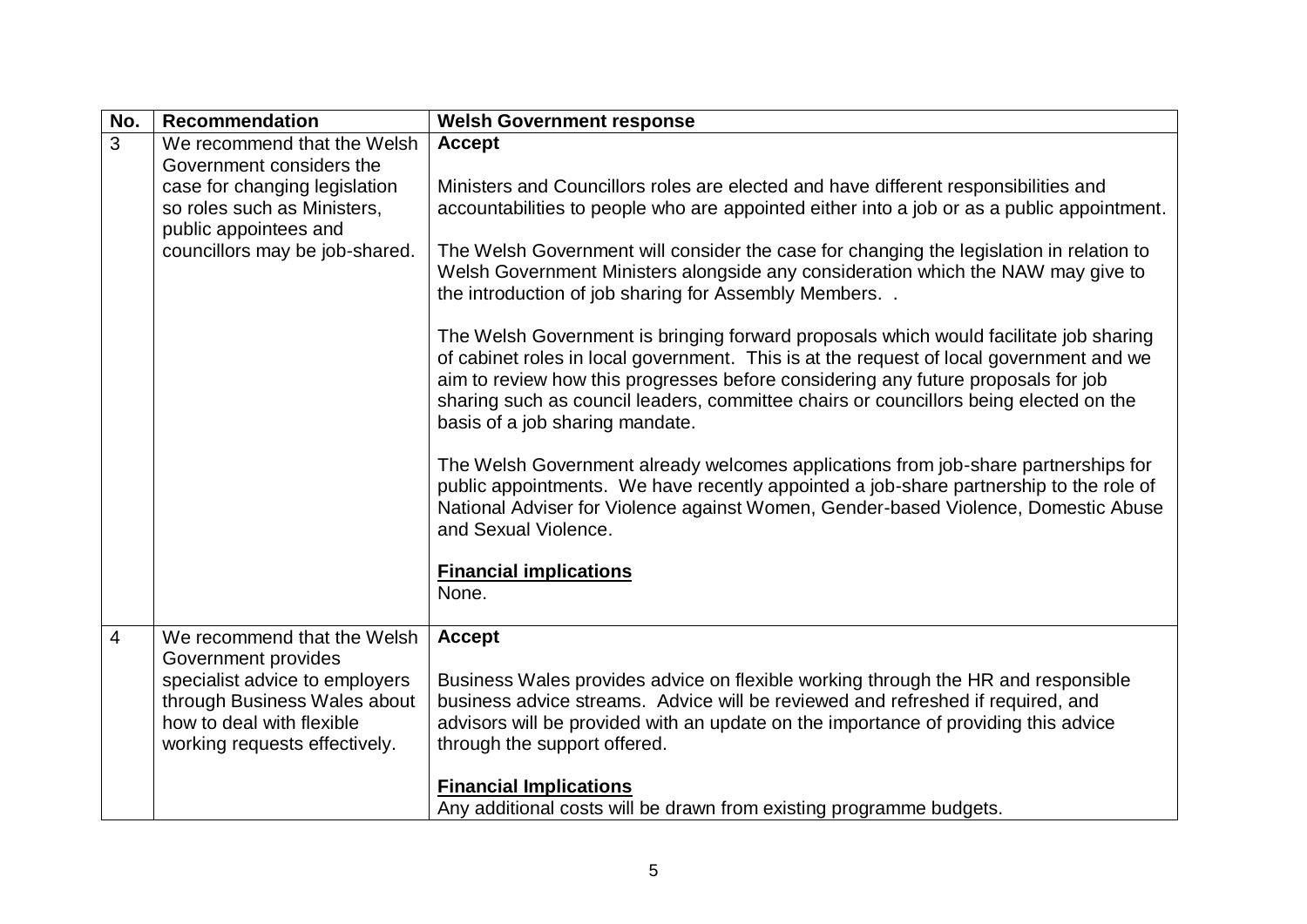| No.            | <b>Recommendation</b>                                                                      | <b>Welsh Government response</b>                                                                                                                                                                                                                                                                                                                                                                  |
|----------------|--------------------------------------------------------------------------------------------|---------------------------------------------------------------------------------------------------------------------------------------------------------------------------------------------------------------------------------------------------------------------------------------------------------------------------------------------------------------------------------------------------|
| $\overline{3}$ | We recommend that the Welsh<br>Government considers the                                    | <b>Accept</b>                                                                                                                                                                                                                                                                                                                                                                                     |
|                | case for changing legislation<br>so roles such as Ministers,<br>public appointees and      | Ministers and Councillors roles are elected and have different responsibilities and<br>accountabilities to people who are appointed either into a job or as a public appointment.                                                                                                                                                                                                                 |
|                | councillors may be job-shared.                                                             | The Welsh Government will consider the case for changing the legislation in relation to<br>Welsh Government Ministers alongside any consideration which the NAW may give to<br>the introduction of job sharing for Assembly Members                                                                                                                                                               |
|                |                                                                                            | The Welsh Government is bringing forward proposals which would facilitate job sharing<br>of cabinet roles in local government. This is at the request of local government and we<br>aim to review how this progresses before considering any future proposals for job<br>sharing such as council leaders, committee chairs or councillors being elected on the<br>basis of a job sharing mandate. |
|                |                                                                                            | The Welsh Government already welcomes applications from job-share partnerships for<br>public appointments. We have recently appointed a job-share partnership to the role of<br>National Adviser for Violence against Women, Gender-based Violence, Domestic Abuse<br>and Sexual Violence.                                                                                                        |
|                |                                                                                            | <b>Financial implications</b><br>None.                                                                                                                                                                                                                                                                                                                                                            |
| $\overline{4}$ | We recommend that the Welsh<br>Government provides<br>specialist advice to employers       | <b>Accept</b><br>Business Wales provides advice on flexible working through the HR and responsible                                                                                                                                                                                                                                                                                                |
|                | through Business Wales about<br>how to deal with flexible<br>working requests effectively. | business advice streams. Advice will be reviewed and refreshed if required, and<br>advisors will be provided with an update on the importance of providing this advice<br>through the support offered.                                                                                                                                                                                            |
|                |                                                                                            | <b>Financial Implications</b><br>Any additional costs will be drawn from existing programme budgets.                                                                                                                                                                                                                                                                                              |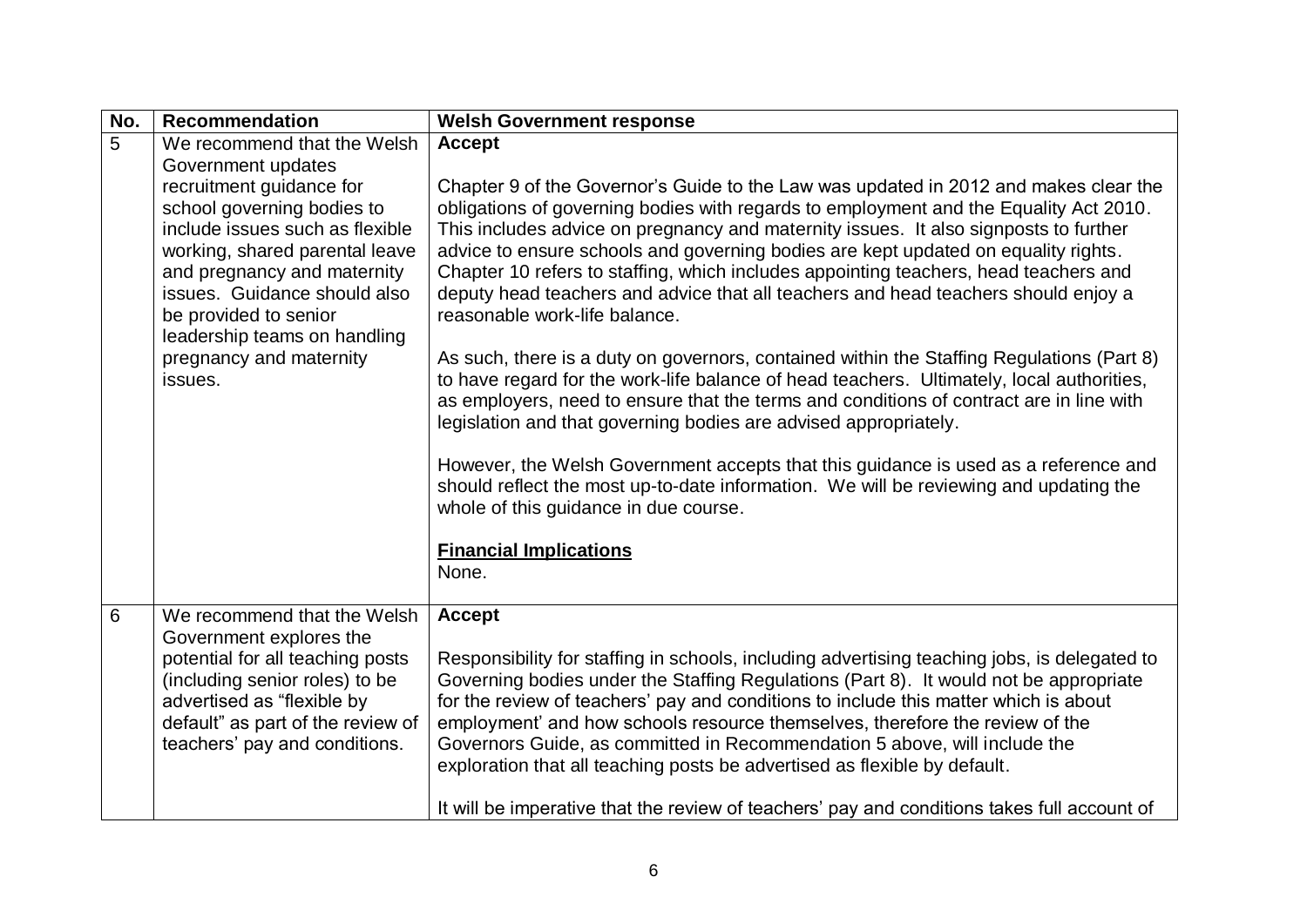| No.            | <b>Recommendation</b>                                                                                                                                                                                                                                                                     | <b>Welsh Government response</b>                                                                                                                                                                                                                                                                                                                                                                                                                                                                                                                                                                                                                                                                                                                                                                                                                                                                                                                                                                                                                                                                                                                                                                       |
|----------------|-------------------------------------------------------------------------------------------------------------------------------------------------------------------------------------------------------------------------------------------------------------------------------------------|--------------------------------------------------------------------------------------------------------------------------------------------------------------------------------------------------------------------------------------------------------------------------------------------------------------------------------------------------------------------------------------------------------------------------------------------------------------------------------------------------------------------------------------------------------------------------------------------------------------------------------------------------------------------------------------------------------------------------------------------------------------------------------------------------------------------------------------------------------------------------------------------------------------------------------------------------------------------------------------------------------------------------------------------------------------------------------------------------------------------------------------------------------------------------------------------------------|
| $\overline{5}$ | We recommend that the Welsh<br>Government updates                                                                                                                                                                                                                                         | <b>Accept</b>                                                                                                                                                                                                                                                                                                                                                                                                                                                                                                                                                                                                                                                                                                                                                                                                                                                                                                                                                                                                                                                                                                                                                                                          |
|                | recruitment guidance for<br>school governing bodies to<br>include issues such as flexible<br>working, shared parental leave<br>and pregnancy and maternity<br>issues. Guidance should also<br>be provided to senior<br>leadership teams on handling<br>pregnancy and maternity<br>issues. | Chapter 9 of the Governor's Guide to the Law was updated in 2012 and makes clear the<br>obligations of governing bodies with regards to employment and the Equality Act 2010.<br>This includes advice on pregnancy and maternity issues. It also signposts to further<br>advice to ensure schools and governing bodies are kept updated on equality rights.<br>Chapter 10 refers to staffing, which includes appointing teachers, head teachers and<br>deputy head teachers and advice that all teachers and head teachers should enjoy a<br>reasonable work-life balance.<br>As such, there is a duty on governors, contained within the Staffing Regulations (Part 8)<br>to have regard for the work-life balance of head teachers. Ultimately, local authorities,<br>as employers, need to ensure that the terms and conditions of contract are in line with<br>legislation and that governing bodies are advised appropriately.<br>However, the Welsh Government accepts that this guidance is used as a reference and<br>should reflect the most up-to-date information. We will be reviewing and updating the<br>whole of this guidance in due course.<br><b>Financial Implications</b><br>None. |
| 6              | We recommend that the Welsh<br>Government explores the<br>potential for all teaching posts<br>(including senior roles) to be                                                                                                                                                              | <b>Accept</b><br>Responsibility for staffing in schools, including advertising teaching jobs, is delegated to<br>Governing bodies under the Staffing Regulations (Part 8). It would not be appropriate                                                                                                                                                                                                                                                                                                                                                                                                                                                                                                                                                                                                                                                                                                                                                                                                                                                                                                                                                                                                 |
|                | advertised as "flexible by<br>default" as part of the review of<br>teachers' pay and conditions.                                                                                                                                                                                          | for the review of teachers' pay and conditions to include this matter which is about<br>employment' and how schools resource themselves, therefore the review of the<br>Governors Guide, as committed in Recommendation 5 above, will include the<br>exploration that all teaching posts be advertised as flexible by default.<br>It will be imperative that the review of teachers' pay and conditions takes full account of                                                                                                                                                                                                                                                                                                                                                                                                                                                                                                                                                                                                                                                                                                                                                                          |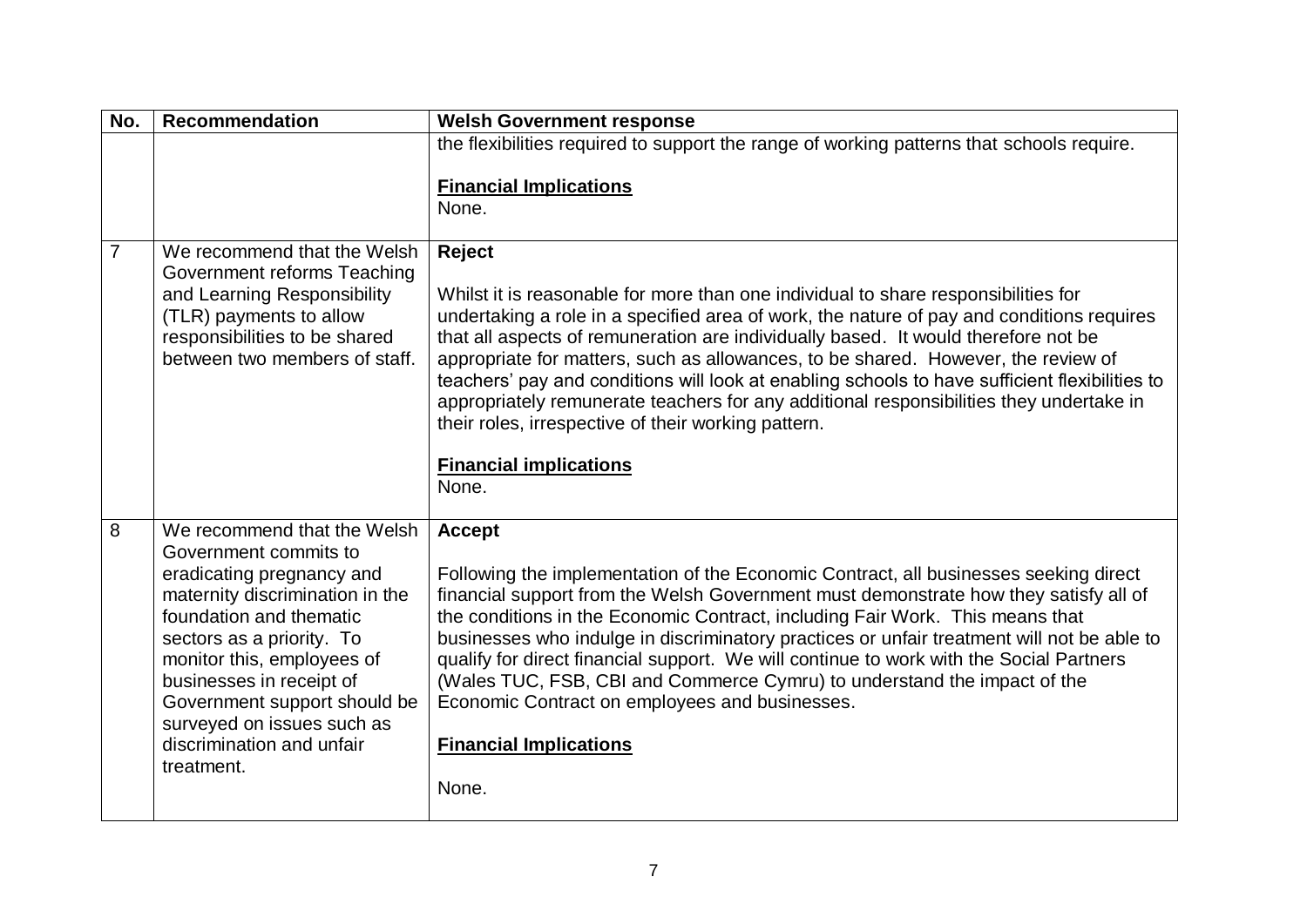| No.            | <b>Recommendation</b>                                                                                                                                                                                                                                                                                                                           | <b>Welsh Government response</b>                                                                                                                                                                                                                                                                                                                                                                                                                                                                                                                                                                                                                                 |
|----------------|-------------------------------------------------------------------------------------------------------------------------------------------------------------------------------------------------------------------------------------------------------------------------------------------------------------------------------------------------|------------------------------------------------------------------------------------------------------------------------------------------------------------------------------------------------------------------------------------------------------------------------------------------------------------------------------------------------------------------------------------------------------------------------------------------------------------------------------------------------------------------------------------------------------------------------------------------------------------------------------------------------------------------|
|                |                                                                                                                                                                                                                                                                                                                                                 | the flexibilities required to support the range of working patterns that schools require.<br><b>Financial Implications</b><br>None.                                                                                                                                                                                                                                                                                                                                                                                                                                                                                                                              |
| $\overline{7}$ | We recommend that the Welsh<br>Government reforms Teaching<br>and Learning Responsibility<br>(TLR) payments to allow<br>responsibilities to be shared<br>between two members of staff.                                                                                                                                                          | <b>Reject</b><br>Whilst it is reasonable for more than one individual to share responsibilities for<br>undertaking a role in a specified area of work, the nature of pay and conditions requires<br>that all aspects of remuneration are individually based. It would therefore not be<br>appropriate for matters, such as allowances, to be shared. However, the review of<br>teachers' pay and conditions will look at enabling schools to have sufficient flexibilities to<br>appropriately remunerate teachers for any additional responsibilities they undertake in<br>their roles, irrespective of their working pattern.<br><b>Financial implications</b> |
|                |                                                                                                                                                                                                                                                                                                                                                 | None.                                                                                                                                                                                                                                                                                                                                                                                                                                                                                                                                                                                                                                                            |
| 8              | We recommend that the Welsh<br>Government commits to<br>eradicating pregnancy and<br>maternity discrimination in the<br>foundation and thematic<br>sectors as a priority. To<br>monitor this, employees of<br>businesses in receipt of<br>Government support should be<br>surveyed on issues such as<br>discrimination and unfair<br>treatment. | <b>Accept</b><br>Following the implementation of the Economic Contract, all businesses seeking direct<br>financial support from the Welsh Government must demonstrate how they satisfy all of<br>the conditions in the Economic Contract, including Fair Work. This means that<br>businesses who indulge in discriminatory practices or unfair treatment will not be able to<br>qualify for direct financial support. We will continue to work with the Social Partners<br>(Wales TUC, FSB, CBI and Commerce Cymru) to understand the impact of the<br>Economic Contract on employees and businesses.<br><b>Financial Implications</b><br>None.                  |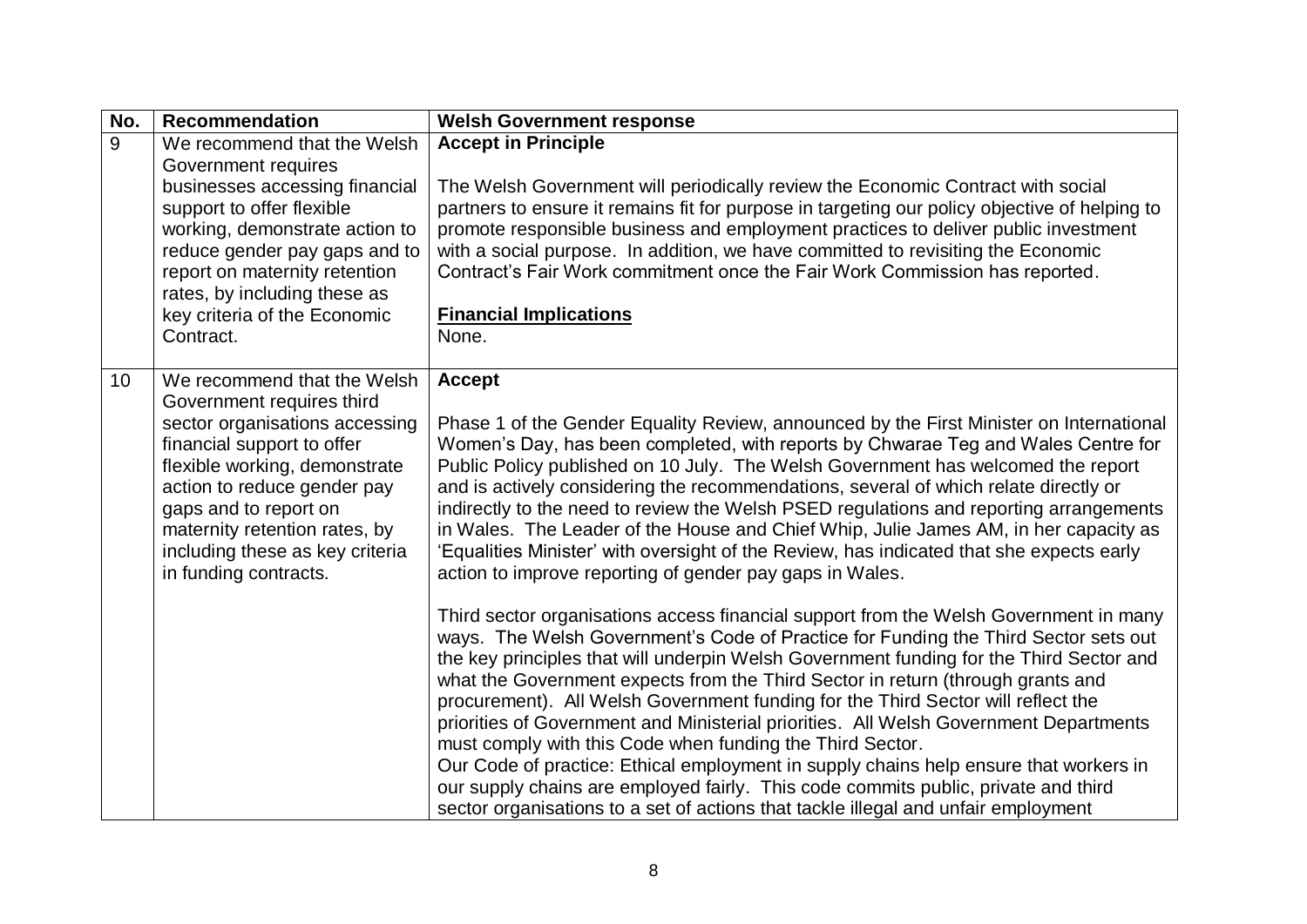| <b>Accept in Principle</b><br>The Welsh Government will periodically review the Economic Contract with social<br>partners to ensure it remains fit for purpose in targeting our policy objective of helping to<br>promote responsible business and employment practices to deliver public investment<br>with a social purpose. In addition, we have committed to revisiting the Economic<br>Contract's Fair Work commitment once the Fair Work Commission has reported.<br><b>Financial Implications</b><br>None.                                                                                                                                                                                                                                                                                                                                                                                                                                                                                                                                                                                                                                                                                                                                                                                                                                                                                                                                                                                          |
|------------------------------------------------------------------------------------------------------------------------------------------------------------------------------------------------------------------------------------------------------------------------------------------------------------------------------------------------------------------------------------------------------------------------------------------------------------------------------------------------------------------------------------------------------------------------------------------------------------------------------------------------------------------------------------------------------------------------------------------------------------------------------------------------------------------------------------------------------------------------------------------------------------------------------------------------------------------------------------------------------------------------------------------------------------------------------------------------------------------------------------------------------------------------------------------------------------------------------------------------------------------------------------------------------------------------------------------------------------------------------------------------------------------------------------------------------------------------------------------------------------|
| <b>Accept</b><br>Phase 1 of the Gender Equality Review, announced by the First Minister on International<br>Women's Day, has been completed, with reports by Chwarae Teg and Wales Centre for<br>Public Policy published on 10 July. The Welsh Government has welcomed the report<br>and is actively considering the recommendations, several of which relate directly or<br>indirectly to the need to review the Welsh PSED regulations and reporting arrangements<br>in Wales. The Leader of the House and Chief Whip, Julie James AM, in her capacity as<br>'Equalities Minister' with oversight of the Review, has indicated that she expects early<br>action to improve reporting of gender pay gaps in Wales.<br>Third sector organisations access financial support from the Welsh Government in many<br>ways. The Welsh Government's Code of Practice for Funding the Third Sector sets out<br>the key principles that will underpin Welsh Government funding for the Third Sector and<br>what the Government expects from the Third Sector in return (through grants and<br>procurement). All Welsh Government funding for the Third Sector will reflect the<br>priorities of Government and Ministerial priorities. All Welsh Government Departments<br>must comply with this Code when funding the Third Sector.<br>Our Code of practice: Ethical employment in supply chains help ensure that workers in<br>our supply chains are employed fairly. This code commits public, private and third |
| reduce gender pay gaps and to                                                                                                                                                                                                                                                                                                                                                                                                                                                                                                                                                                                                                                                                                                                                                                                                                                                                                                                                                                                                                                                                                                                                                                                                                                                                                                                                                                                                                                                                              |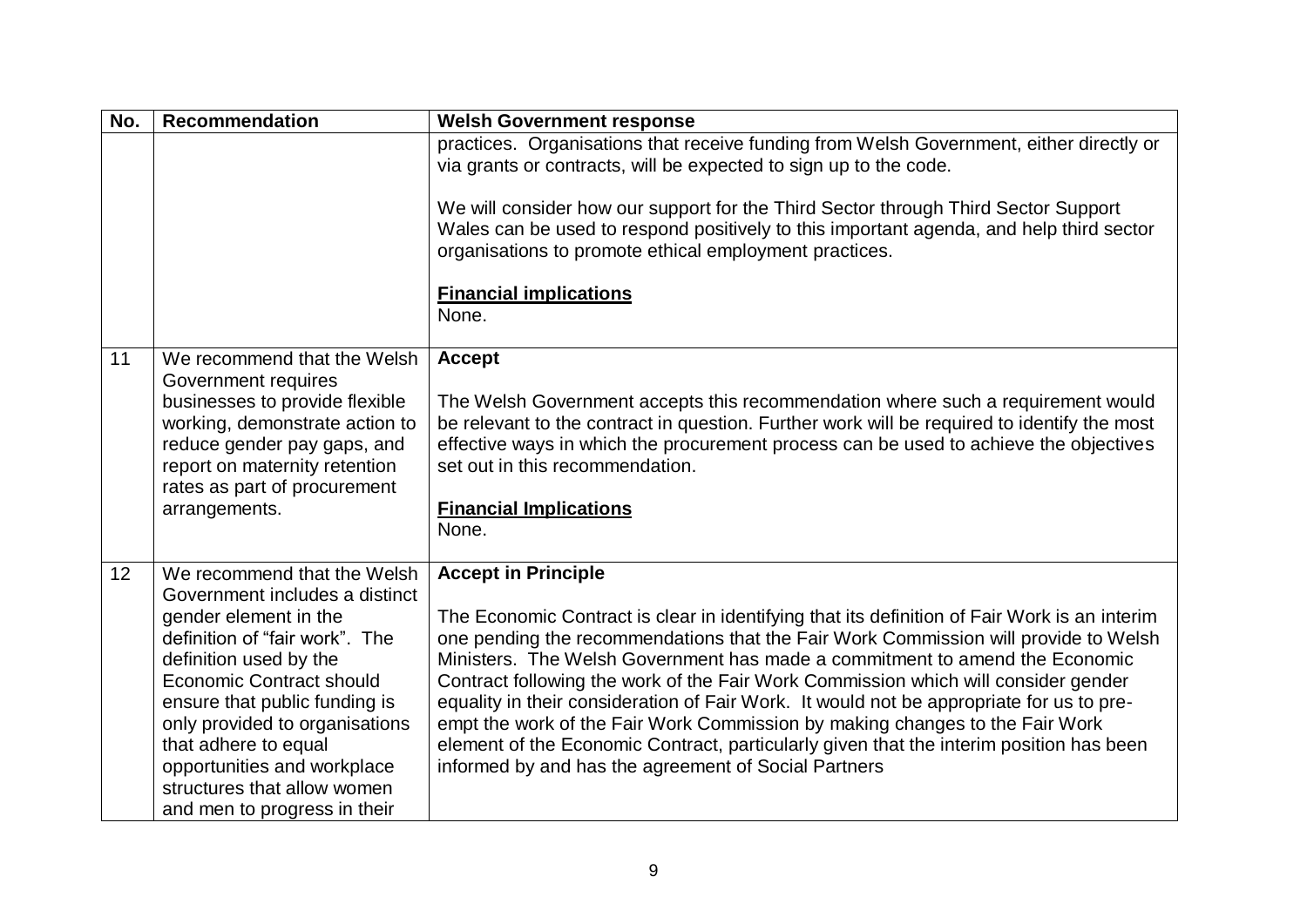| No. | <b>Recommendation</b>                                                                                                                                                                                                                                                                                                                                                          | <b>Welsh Government response</b>                                                                                                                                                                                                                                                                                                                                                                                                                                                                                                                                                                                                                                                                                      |
|-----|--------------------------------------------------------------------------------------------------------------------------------------------------------------------------------------------------------------------------------------------------------------------------------------------------------------------------------------------------------------------------------|-----------------------------------------------------------------------------------------------------------------------------------------------------------------------------------------------------------------------------------------------------------------------------------------------------------------------------------------------------------------------------------------------------------------------------------------------------------------------------------------------------------------------------------------------------------------------------------------------------------------------------------------------------------------------------------------------------------------------|
|     |                                                                                                                                                                                                                                                                                                                                                                                | practices. Organisations that receive funding from Welsh Government, either directly or<br>via grants or contracts, will be expected to sign up to the code.<br>We will consider how our support for the Third Sector through Third Sector Support<br>Wales can be used to respond positively to this important agenda, and help third sector<br>organisations to promote ethical employment practices.<br><b>Financial implications</b>                                                                                                                                                                                                                                                                              |
|     |                                                                                                                                                                                                                                                                                                                                                                                | None.                                                                                                                                                                                                                                                                                                                                                                                                                                                                                                                                                                                                                                                                                                                 |
| 11  | We recommend that the Welsh<br>Government requires<br>businesses to provide flexible<br>working, demonstrate action to<br>reduce gender pay gaps, and<br>report on maternity retention<br>rates as part of procurement<br>arrangements.                                                                                                                                        | <b>Accept</b><br>The Welsh Government accepts this recommendation where such a requirement would<br>be relevant to the contract in question. Further work will be required to identify the most<br>effective ways in which the procurement process can be used to achieve the objectives<br>set out in this recommendation.<br><b>Financial Implications</b><br>None.                                                                                                                                                                                                                                                                                                                                                 |
| 12  | We recommend that the Welsh<br>Government includes a distinct<br>gender element in the<br>definition of "fair work". The<br>definition used by the<br><b>Economic Contract should</b><br>ensure that public funding is<br>only provided to organisations<br>that adhere to equal<br>opportunities and workplace<br>structures that allow women<br>and men to progress in their | <b>Accept in Principle</b><br>The Economic Contract is clear in identifying that its definition of Fair Work is an interim<br>one pending the recommendations that the Fair Work Commission will provide to Welsh<br>Ministers. The Welsh Government has made a commitment to amend the Economic<br>Contract following the work of the Fair Work Commission which will consider gender<br>equality in their consideration of Fair Work. It would not be appropriate for us to pre-<br>empt the work of the Fair Work Commission by making changes to the Fair Work<br>element of the Economic Contract, particularly given that the interim position has been<br>informed by and has the agreement of Social Partners |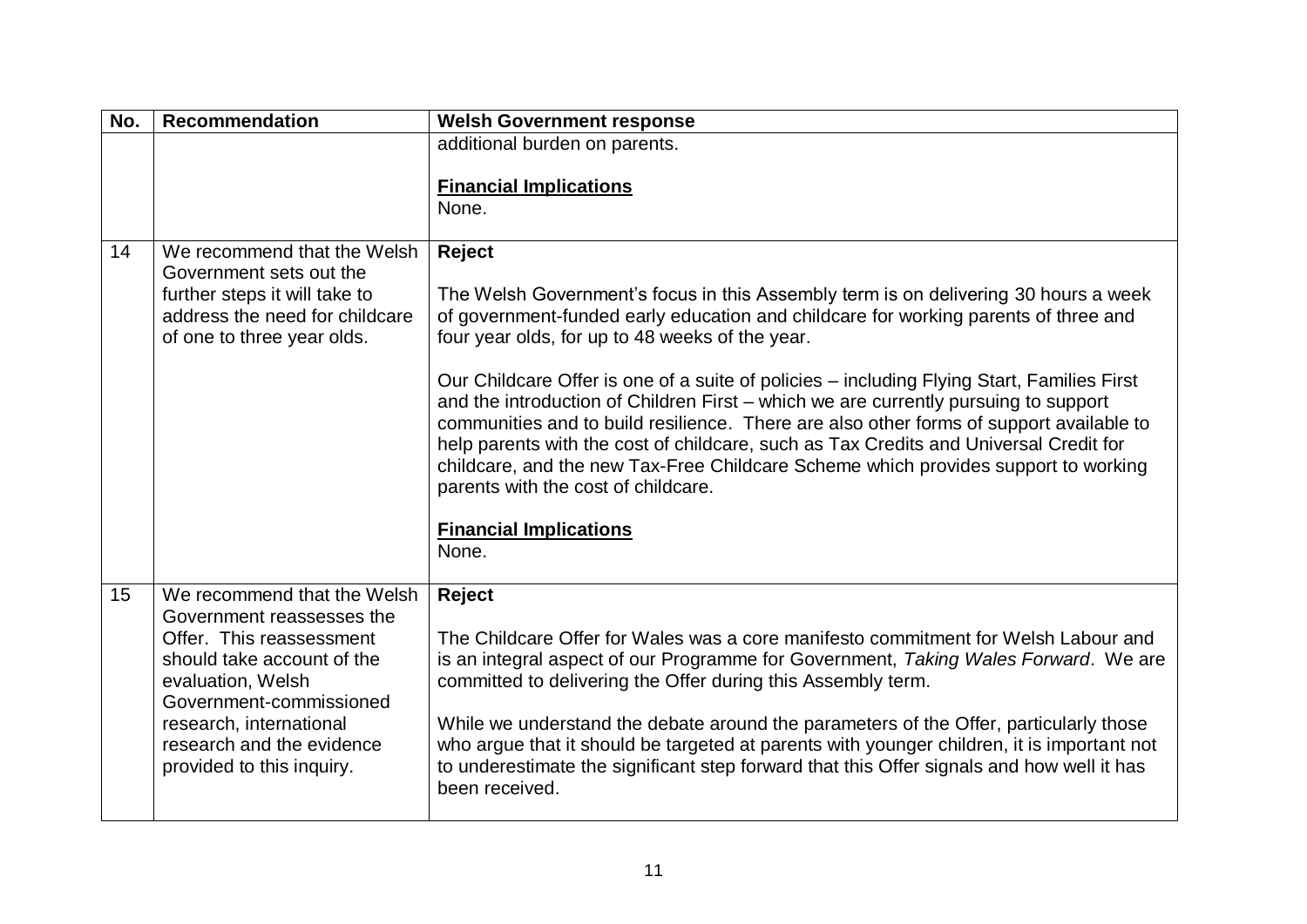| No. | <b>Recommendation</b>                                                                                                                                                                                                                                   | <b>Welsh Government response</b>                                                                                                                                                                                                                                                                                                                                                                                                                                                                                                                                                                                                                                                                                                                                                        |
|-----|---------------------------------------------------------------------------------------------------------------------------------------------------------------------------------------------------------------------------------------------------------|-----------------------------------------------------------------------------------------------------------------------------------------------------------------------------------------------------------------------------------------------------------------------------------------------------------------------------------------------------------------------------------------------------------------------------------------------------------------------------------------------------------------------------------------------------------------------------------------------------------------------------------------------------------------------------------------------------------------------------------------------------------------------------------------|
|     |                                                                                                                                                                                                                                                         | additional burden on parents.<br><b>Financial Implications</b><br>None.                                                                                                                                                                                                                                                                                                                                                                                                                                                                                                                                                                                                                                                                                                                 |
| 14  | We recommend that the Welsh<br>Government sets out the<br>further steps it will take to<br>address the need for childcare<br>of one to three year olds.                                                                                                 | Reject<br>The Welsh Government's focus in this Assembly term is on delivering 30 hours a week<br>of government-funded early education and childcare for working parents of three and<br>four year olds, for up to 48 weeks of the year.<br>Our Childcare Offer is one of a suite of policies – including Flying Start, Families First<br>and the introduction of Children First - which we are currently pursuing to support<br>communities and to build resilience. There are also other forms of support available to<br>help parents with the cost of childcare, such as Tax Credits and Universal Credit for<br>childcare, and the new Tax-Free Childcare Scheme which provides support to working<br>parents with the cost of childcare.<br><b>Financial Implications</b><br>None. |
| 15  | We recommend that the Welsh<br>Government reassesses the<br>Offer. This reassessment<br>should take account of the<br>evaluation, Welsh<br>Government-commissioned<br>research, international<br>research and the evidence<br>provided to this inquiry. | Reject<br>The Childcare Offer for Wales was a core manifesto commitment for Welsh Labour and<br>is an integral aspect of our Programme for Government, Taking Wales Forward. We are<br>committed to delivering the Offer during this Assembly term.<br>While we understand the debate around the parameters of the Offer, particularly those<br>who argue that it should be targeted at parents with younger children, it is important not<br>to underestimate the significant step forward that this Offer signals and how well it has<br>been received.                                                                                                                                                                                                                               |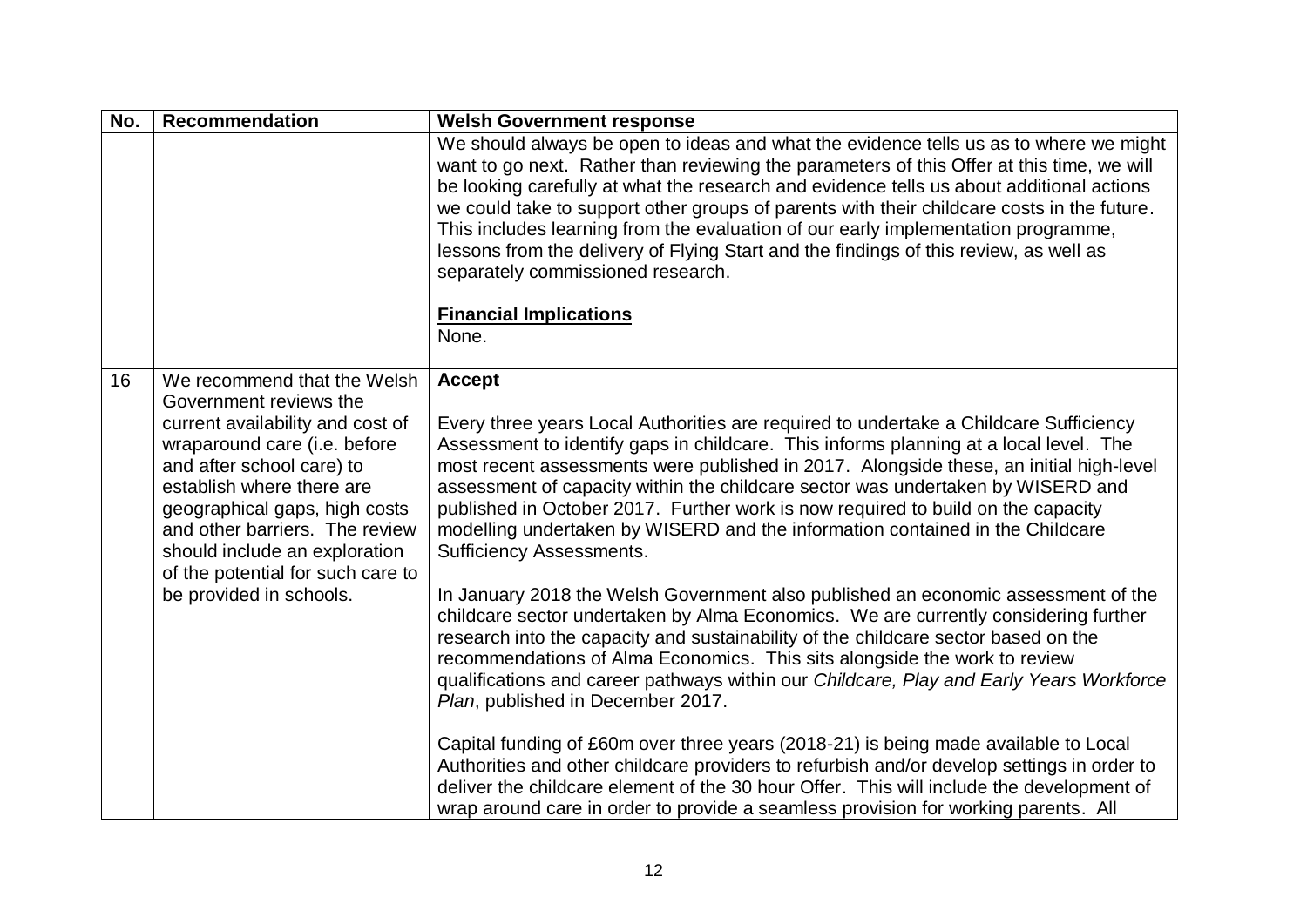| No. | <b>Recommendation</b>                                                                                                                                                                                                                                                                                                                                   | <b>Welsh Government response</b>                                                                                                                                                                                                                                                                                                                                                                                                                                                                                                                                                                                                                                                                                                                                                                                                                                                                                                                                                                                                                                    |
|-----|---------------------------------------------------------------------------------------------------------------------------------------------------------------------------------------------------------------------------------------------------------------------------------------------------------------------------------------------------------|---------------------------------------------------------------------------------------------------------------------------------------------------------------------------------------------------------------------------------------------------------------------------------------------------------------------------------------------------------------------------------------------------------------------------------------------------------------------------------------------------------------------------------------------------------------------------------------------------------------------------------------------------------------------------------------------------------------------------------------------------------------------------------------------------------------------------------------------------------------------------------------------------------------------------------------------------------------------------------------------------------------------------------------------------------------------|
|     |                                                                                                                                                                                                                                                                                                                                                         | We should always be open to ideas and what the evidence tells us as to where we might<br>want to go next. Rather than reviewing the parameters of this Offer at this time, we will<br>be looking carefully at what the research and evidence tells us about additional actions<br>we could take to support other groups of parents with their childcare costs in the future.<br>This includes learning from the evaluation of our early implementation programme,<br>lessons from the delivery of Flying Start and the findings of this review, as well as<br>separately commissioned research.                                                                                                                                                                                                                                                                                                                                                                                                                                                                     |
|     |                                                                                                                                                                                                                                                                                                                                                         | <b>Financial Implications</b><br>None.                                                                                                                                                                                                                                                                                                                                                                                                                                                                                                                                                                                                                                                                                                                                                                                                                                                                                                                                                                                                                              |
|     |                                                                                                                                                                                                                                                                                                                                                         |                                                                                                                                                                                                                                                                                                                                                                                                                                                                                                                                                                                                                                                                                                                                                                                                                                                                                                                                                                                                                                                                     |
| 16  | We recommend that the Welsh<br>Government reviews the<br>current availability and cost of<br>wraparound care (i.e. before<br>and after school care) to<br>establish where there are<br>geographical gaps, high costs<br>and other barriers. The review<br>should include an exploration<br>of the potential for such care to<br>be provided in schools. | <b>Accept</b><br>Every three years Local Authorities are required to undertake a Childcare Sufficiency<br>Assessment to identify gaps in childcare. This informs planning at a local level. The<br>most recent assessments were published in 2017. Alongside these, an initial high-level<br>assessment of capacity within the childcare sector was undertaken by WISERD and<br>published in October 2017. Further work is now required to build on the capacity<br>modelling undertaken by WISERD and the information contained in the Childcare<br><b>Sufficiency Assessments.</b><br>In January 2018 the Welsh Government also published an economic assessment of the<br>childcare sector undertaken by Alma Economics. We are currently considering further<br>research into the capacity and sustainability of the childcare sector based on the<br>recommendations of Alma Economics. This sits alongside the work to review<br>qualifications and career pathways within our Childcare, Play and Early Years Workforce<br>Plan, published in December 2017. |
|     |                                                                                                                                                                                                                                                                                                                                                         | Capital funding of £60m over three years (2018-21) is being made available to Local<br>Authorities and other childcare providers to refurbish and/or develop settings in order to<br>deliver the childcare element of the 30 hour Offer. This will include the development of<br>wrap around care in order to provide a seamless provision for working parents. All                                                                                                                                                                                                                                                                                                                                                                                                                                                                                                                                                                                                                                                                                                 |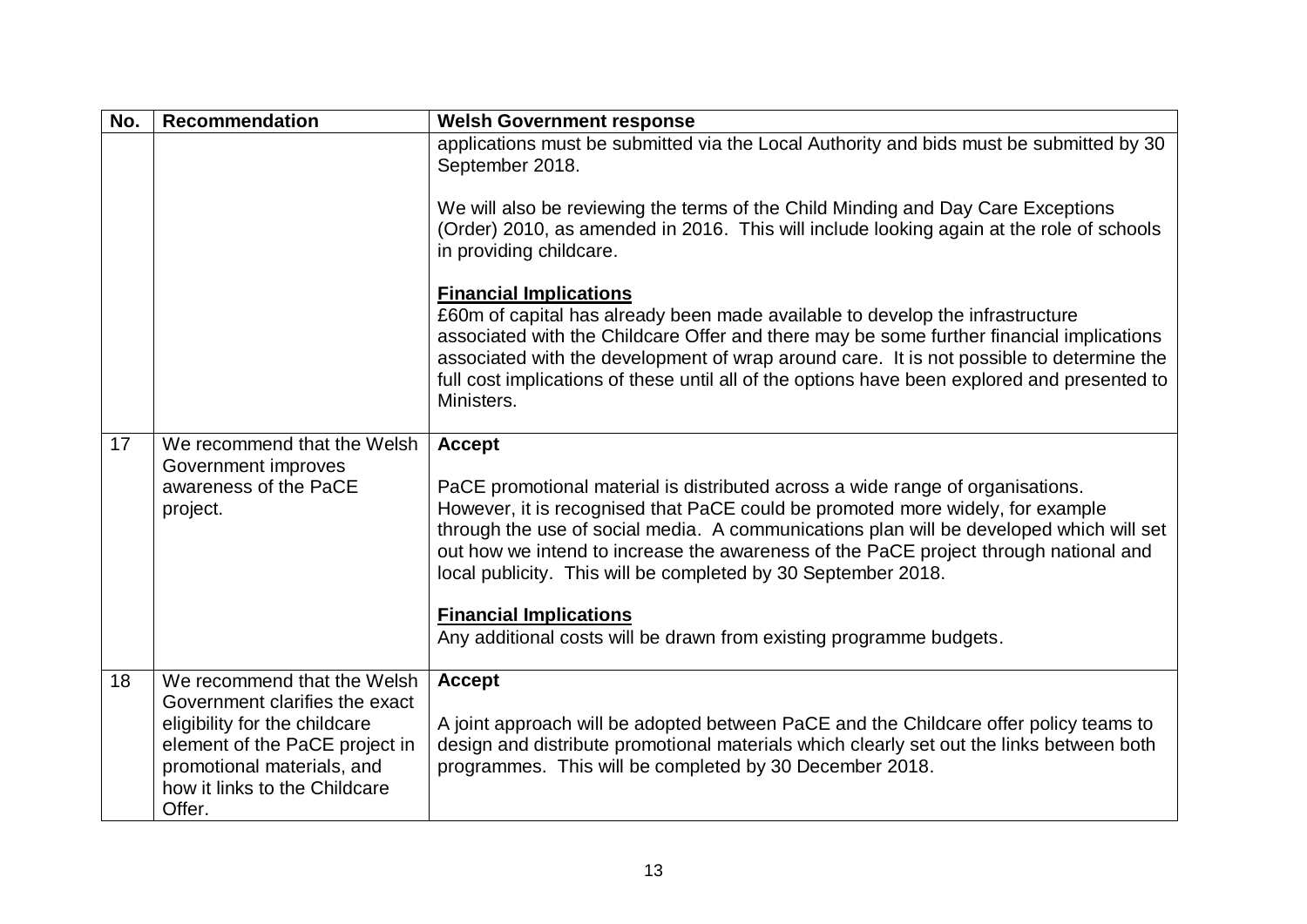| No. | <b>Recommendation</b>                                                                                                                                                                                     | <b>Welsh Government response</b>                                                                                                                                                                                                                                                                                                                                                                                                                                                                                                              |
|-----|-----------------------------------------------------------------------------------------------------------------------------------------------------------------------------------------------------------|-----------------------------------------------------------------------------------------------------------------------------------------------------------------------------------------------------------------------------------------------------------------------------------------------------------------------------------------------------------------------------------------------------------------------------------------------------------------------------------------------------------------------------------------------|
|     |                                                                                                                                                                                                           | applications must be submitted via the Local Authority and bids must be submitted by 30<br>September 2018.<br>We will also be reviewing the terms of the Child Minding and Day Care Exceptions<br>(Order) 2010, as amended in 2016. This will include looking again at the role of schools<br>in providing childcare.                                                                                                                                                                                                                         |
|     |                                                                                                                                                                                                           | <b>Financial Implications</b><br>£60m of capital has already been made available to develop the infrastructure<br>associated with the Childcare Offer and there may be some further financial implications<br>associated with the development of wrap around care. It is not possible to determine the<br>full cost implications of these until all of the options have been explored and presented to<br>Ministers.                                                                                                                          |
| 17  | We recommend that the Welsh<br>Government improves<br>awareness of the PaCE<br>project.                                                                                                                   | <b>Accept</b><br>PaCE promotional material is distributed across a wide range of organisations.<br>However, it is recognised that PaCE could be promoted more widely, for example<br>through the use of social media. A communications plan will be developed which will set<br>out how we intend to increase the awareness of the PaCE project through national and<br>local publicity. This will be completed by 30 September 2018.<br><b>Financial Implications</b><br>Any additional costs will be drawn from existing programme budgets. |
| 18  | We recommend that the Welsh<br>Government clarifies the exact<br>eligibility for the childcare<br>element of the PaCE project in<br>promotional materials, and<br>how it links to the Childcare<br>Offer. | <b>Accept</b><br>A joint approach will be adopted between PaCE and the Childcare offer policy teams to<br>design and distribute promotional materials which clearly set out the links between both<br>programmes. This will be completed by 30 December 2018.                                                                                                                                                                                                                                                                                 |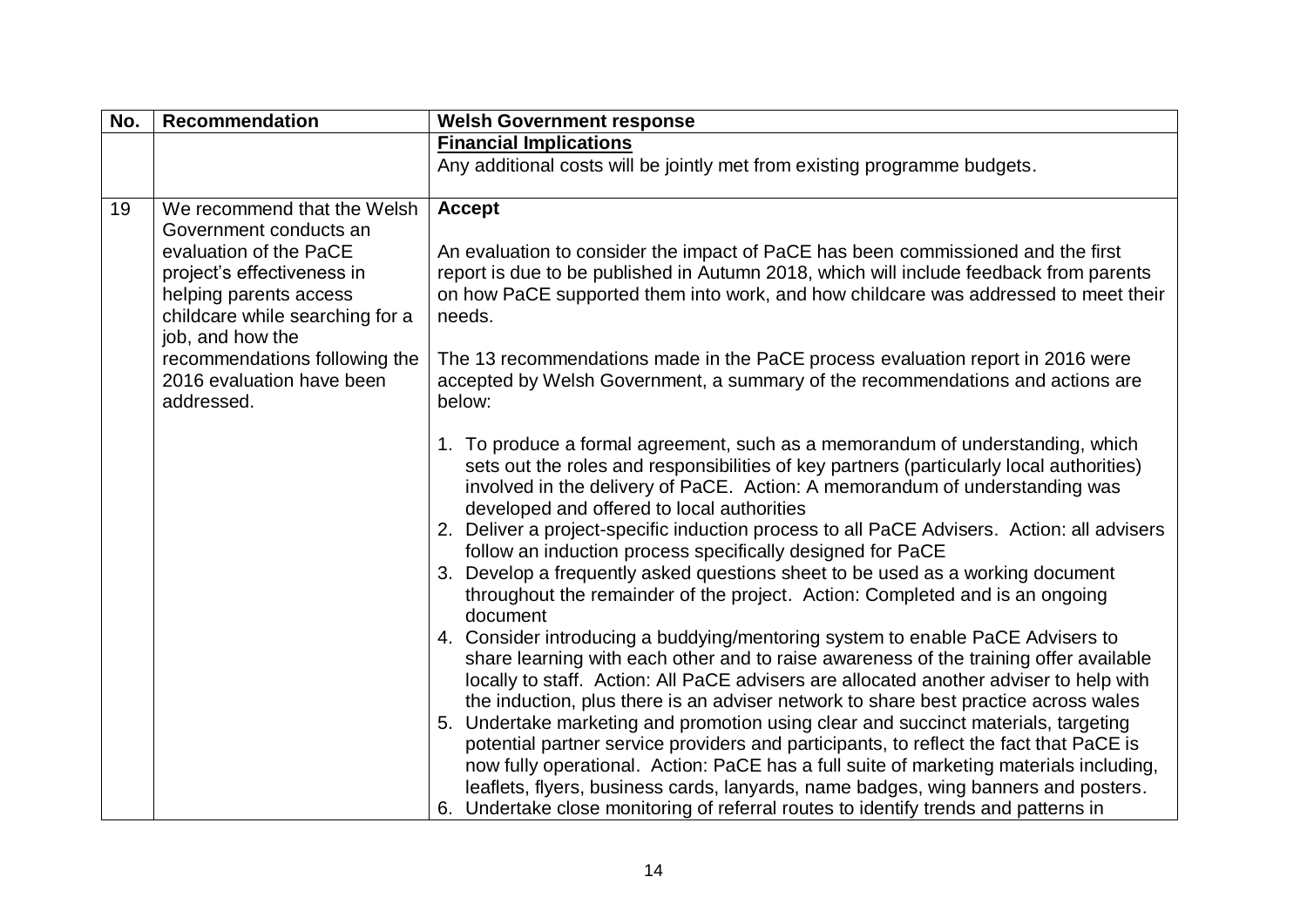| No. | <b>Recommendation</b>                                                                                                                                                                                                                                                      | <b>Welsh Government response</b>                                                                                                                                                                                                                                                                                                                                                                                                                                                                                                                                                                                                                                                                                                                                                                                                                                                                                                                                                                                                                                                                                                                                                                                                                                                                                                                                                                                                                                                                                                                                                                                                                                                                                                                                                                                                                                                                                                                   |
|-----|----------------------------------------------------------------------------------------------------------------------------------------------------------------------------------------------------------------------------------------------------------------------------|----------------------------------------------------------------------------------------------------------------------------------------------------------------------------------------------------------------------------------------------------------------------------------------------------------------------------------------------------------------------------------------------------------------------------------------------------------------------------------------------------------------------------------------------------------------------------------------------------------------------------------------------------------------------------------------------------------------------------------------------------------------------------------------------------------------------------------------------------------------------------------------------------------------------------------------------------------------------------------------------------------------------------------------------------------------------------------------------------------------------------------------------------------------------------------------------------------------------------------------------------------------------------------------------------------------------------------------------------------------------------------------------------------------------------------------------------------------------------------------------------------------------------------------------------------------------------------------------------------------------------------------------------------------------------------------------------------------------------------------------------------------------------------------------------------------------------------------------------------------------------------------------------------------------------------------------------|
|     |                                                                                                                                                                                                                                                                            | <b>Financial Implications</b>                                                                                                                                                                                                                                                                                                                                                                                                                                                                                                                                                                                                                                                                                                                                                                                                                                                                                                                                                                                                                                                                                                                                                                                                                                                                                                                                                                                                                                                                                                                                                                                                                                                                                                                                                                                                                                                                                                                      |
|     |                                                                                                                                                                                                                                                                            | Any additional costs will be jointly met from existing programme budgets.                                                                                                                                                                                                                                                                                                                                                                                                                                                                                                                                                                                                                                                                                                                                                                                                                                                                                                                                                                                                                                                                                                                                                                                                                                                                                                                                                                                                                                                                                                                                                                                                                                                                                                                                                                                                                                                                          |
| 19  | We recommend that the Welsh<br>Government conducts an<br>evaluation of the PaCE<br>project's effectiveness in<br>helping parents access<br>childcare while searching for a<br>job, and how the<br>recommendations following the<br>2016 evaluation have been<br>addressed. | <b>Accept</b><br>An evaluation to consider the impact of PaCE has been commissioned and the first<br>report is due to be published in Autumn 2018, which will include feedback from parents<br>on how PaCE supported them into work, and how childcare was addressed to meet their<br>needs.<br>The 13 recommendations made in the PaCE process evaluation report in 2016 were<br>accepted by Welsh Government, a summary of the recommendations and actions are<br>below:<br>1. To produce a formal agreement, such as a memorandum of understanding, which<br>sets out the roles and responsibilities of key partners (particularly local authorities)<br>involved in the delivery of PaCE. Action: A memorandum of understanding was<br>developed and offered to local authorities<br>2. Deliver a project-specific induction process to all PaCE Advisers. Action: all advisers<br>follow an induction process specifically designed for PaCE<br>3. Develop a frequently asked questions sheet to be used as a working document<br>throughout the remainder of the project. Action: Completed and is an ongoing<br>document<br>4. Consider introducing a buddying/mentoring system to enable PaCE Advisers to<br>share learning with each other and to raise awareness of the training offer available<br>locally to staff. Action: All PaCE advisers are allocated another adviser to help with<br>the induction, plus there is an adviser network to share best practice across wales<br>5. Undertake marketing and promotion using clear and succinct materials, targeting<br>potential partner service providers and participants, to reflect the fact that PaCE is<br>now fully operational. Action: PaCE has a full suite of marketing materials including,<br>leaflets, flyers, business cards, lanyards, name badges, wing banners and posters.<br>6. Undertake close monitoring of referral routes to identify trends and patterns in |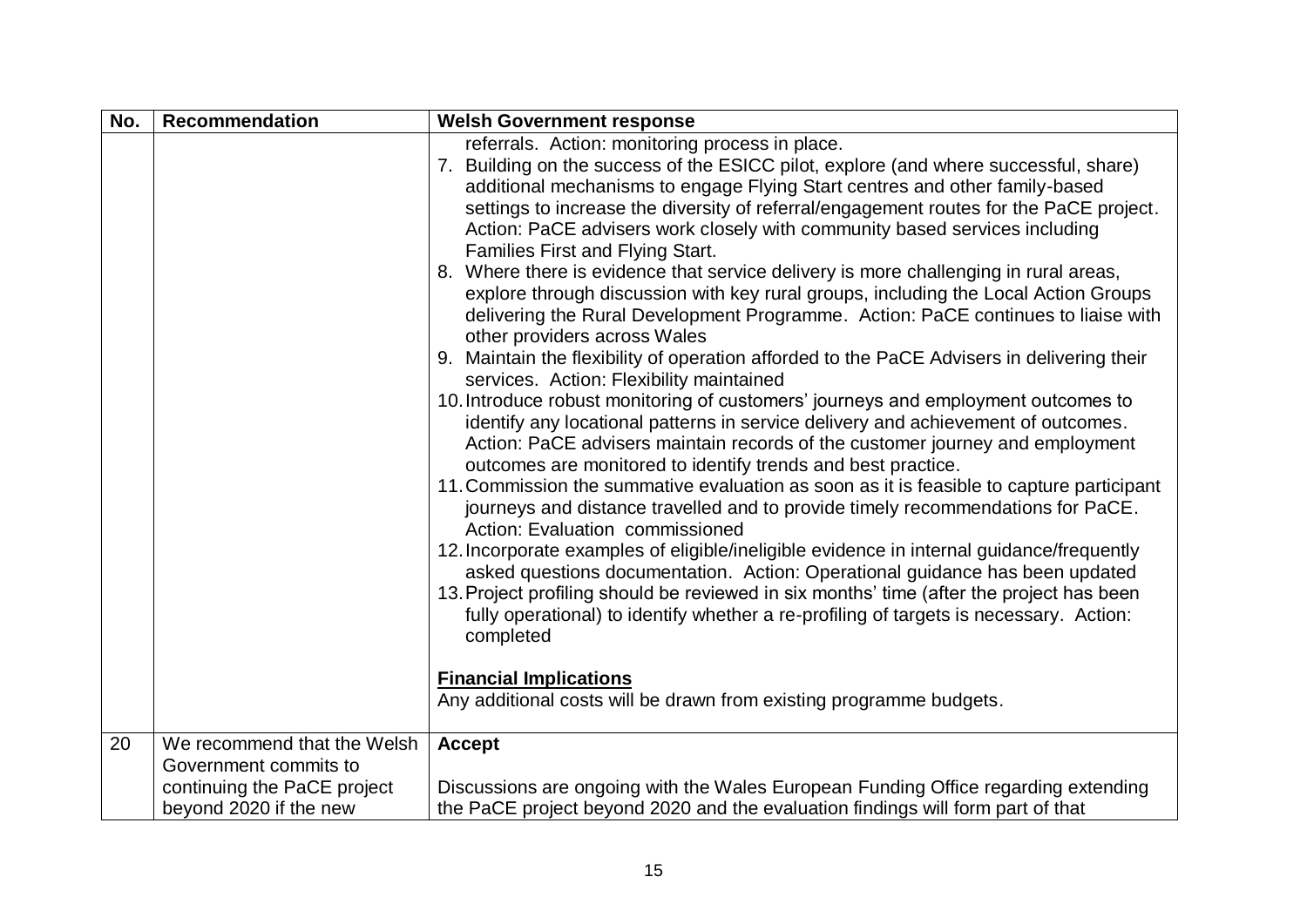| No. | <b>Recommendation</b>       | <b>Welsh Government response</b>                                                                                                                         |
|-----|-----------------------------|----------------------------------------------------------------------------------------------------------------------------------------------------------|
|     |                             | referrals. Action: monitoring process in place.                                                                                                          |
|     |                             | 7. Building on the success of the ESICC pilot, explore (and where successful, share)                                                                     |
|     |                             | additional mechanisms to engage Flying Start centres and other family-based                                                                              |
|     |                             | settings to increase the diversity of referral/engagement routes for the PaCE project.                                                                   |
|     |                             | Action: PaCE advisers work closely with community based services including                                                                               |
|     |                             | Families First and Flying Start.                                                                                                                         |
|     |                             | 8. Where there is evidence that service delivery is more challenging in rural areas,                                                                     |
|     |                             | explore through discussion with key rural groups, including the Local Action Groups                                                                      |
|     |                             | delivering the Rural Development Programme. Action: PaCE continues to liaise with                                                                        |
|     |                             | other providers across Wales                                                                                                                             |
|     |                             | 9. Maintain the flexibility of operation afforded to the PaCE Advisers in delivering their                                                               |
|     |                             | services. Action: Flexibility maintained                                                                                                                 |
|     |                             | 10. Introduce robust monitoring of customers' journeys and employment outcomes to                                                                        |
|     |                             | identify any locational patterns in service delivery and achievement of outcomes.                                                                        |
|     |                             | Action: PaCE advisers maintain records of the customer journey and employment                                                                            |
|     |                             | outcomes are monitored to identify trends and best practice.<br>11. Commission the summative evaluation as soon as it is feasible to capture participant |
|     |                             | journeys and distance travelled and to provide timely recommendations for PaCE.                                                                          |
|     |                             | Action: Evaluation commissioned                                                                                                                          |
|     |                             | 12. Incorporate examples of eligible/ineligible evidence in internal guidance/frequently                                                                 |
|     |                             | asked questions documentation. Action: Operational guidance has been updated                                                                             |
|     |                             | 13. Project profiling should be reviewed in six months' time (after the project has been                                                                 |
|     |                             | fully operational) to identify whether a re-profiling of targets is necessary. Action:                                                                   |
|     |                             | completed                                                                                                                                                |
|     |                             |                                                                                                                                                          |
|     |                             | <b>Financial Implications</b>                                                                                                                            |
|     |                             | Any additional costs will be drawn from existing programme budgets.                                                                                      |
|     |                             |                                                                                                                                                          |
| 20  | We recommend that the Welsh | <b>Accept</b>                                                                                                                                            |
|     | Government commits to       |                                                                                                                                                          |
|     | continuing the PaCE project | Discussions are ongoing with the Wales European Funding Office regarding extending                                                                       |
|     | beyond 2020 if the new      | the PaCE project beyond 2020 and the evaluation findings will form part of that                                                                          |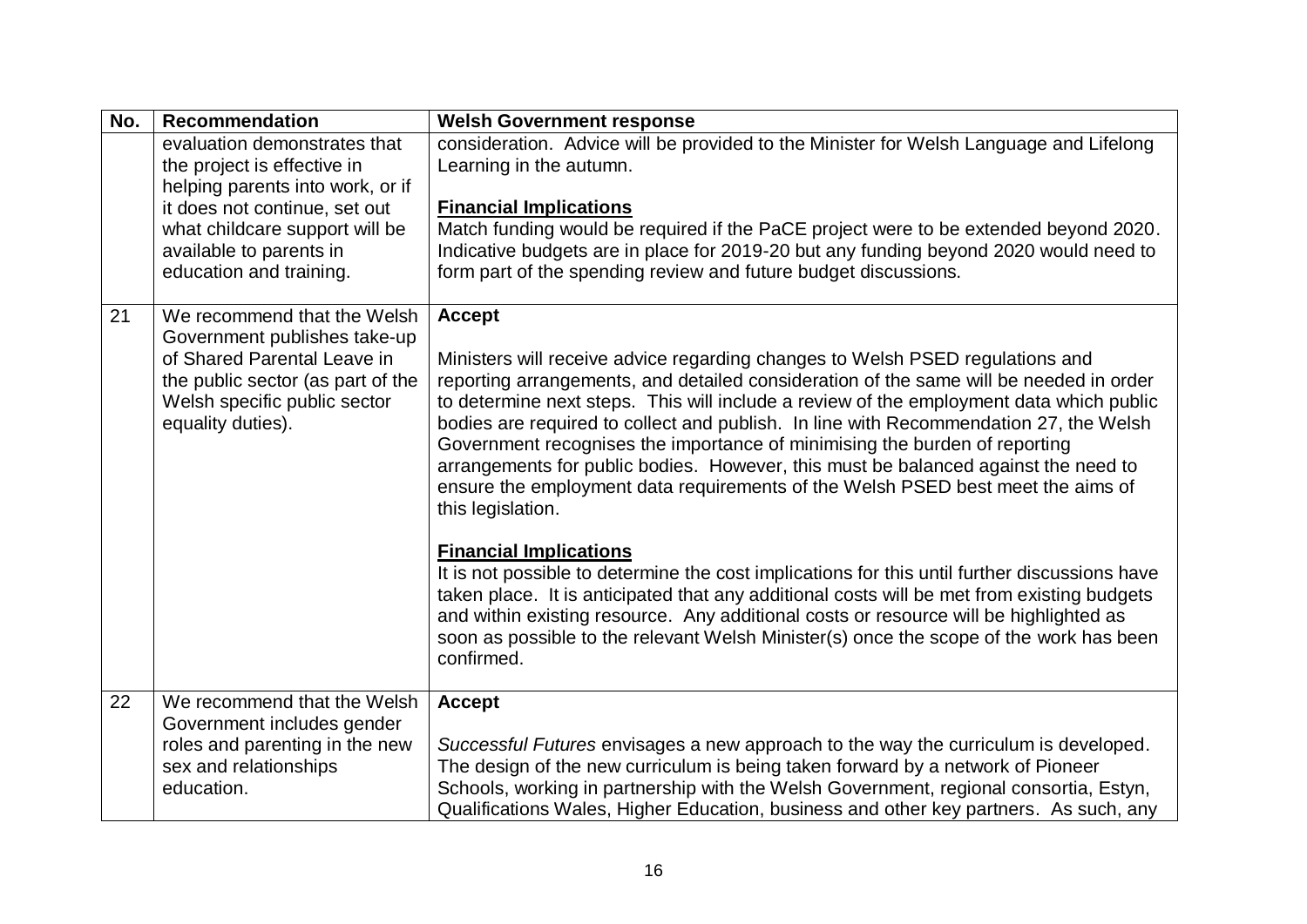| evaluation demonstrates that<br>the project is effective in                                                                                                                          | consideration. Advice will be provided to the Minister for Welsh Language and Lifelong<br>Learning in the autumn.                                                                                                                                                                                                                                                                                                                                                                                                                                                                                                                                                                                                                                                                                                                                                                                                                                                                                                                                                                         |
|--------------------------------------------------------------------------------------------------------------------------------------------------------------------------------------|-------------------------------------------------------------------------------------------------------------------------------------------------------------------------------------------------------------------------------------------------------------------------------------------------------------------------------------------------------------------------------------------------------------------------------------------------------------------------------------------------------------------------------------------------------------------------------------------------------------------------------------------------------------------------------------------------------------------------------------------------------------------------------------------------------------------------------------------------------------------------------------------------------------------------------------------------------------------------------------------------------------------------------------------------------------------------------------------|
| helping parents into work, or if<br>it does not continue, set out<br>what childcare support will be<br>available to parents in<br>education and training.                            | <b>Financial Implications</b><br>Match funding would be required if the PaCE project were to be extended beyond 2020.<br>Indicative budgets are in place for 2019-20 but any funding beyond 2020 would need to<br>form part of the spending review and future budget discussions.                                                                                                                                                                                                                                                                                                                                                                                                                                                                                                                                                                                                                                                                                                                                                                                                         |
| We recommend that the Welsh<br>Government publishes take-up<br>of Shared Parental Leave in<br>the public sector (as part of the<br>Welsh specific public sector<br>equality duties). | <b>Accept</b><br>Ministers will receive advice regarding changes to Welsh PSED regulations and<br>reporting arrangements, and detailed consideration of the same will be needed in order<br>to determine next steps. This will include a review of the employment data which public<br>bodies are required to collect and publish. In line with Recommendation 27, the Welsh<br>Government recognises the importance of minimising the burden of reporting<br>arrangements for public bodies. However, this must be balanced against the need to<br>ensure the employment data requirements of the Welsh PSED best meet the aims of<br>this legislation.<br><b>Financial Implications</b><br>It is not possible to determine the cost implications for this until further discussions have<br>taken place. It is anticipated that any additional costs will be met from existing budgets<br>and within existing resource. Any additional costs or resource will be highlighted as<br>soon as possible to the relevant Welsh Minister(s) once the scope of the work has been<br>confirmed. |
| We recommend that the Welsh<br>Government includes gender<br>roles and parenting in the new<br>sex and relationships<br>education.                                                   | <b>Accept</b><br>Successful Futures envisages a new approach to the way the curriculum is developed.<br>The design of the new curriculum is being taken forward by a network of Pioneer<br>Schools, working in partnership with the Welsh Government, regional consortia, Estyn,<br>Qualifications Wales, Higher Education, business and other key partners. As such, any                                                                                                                                                                                                                                                                                                                                                                                                                                                                                                                                                                                                                                                                                                                 |
|                                                                                                                                                                                      |                                                                                                                                                                                                                                                                                                                                                                                                                                                                                                                                                                                                                                                                                                                                                                                                                                                                                                                                                                                                                                                                                           |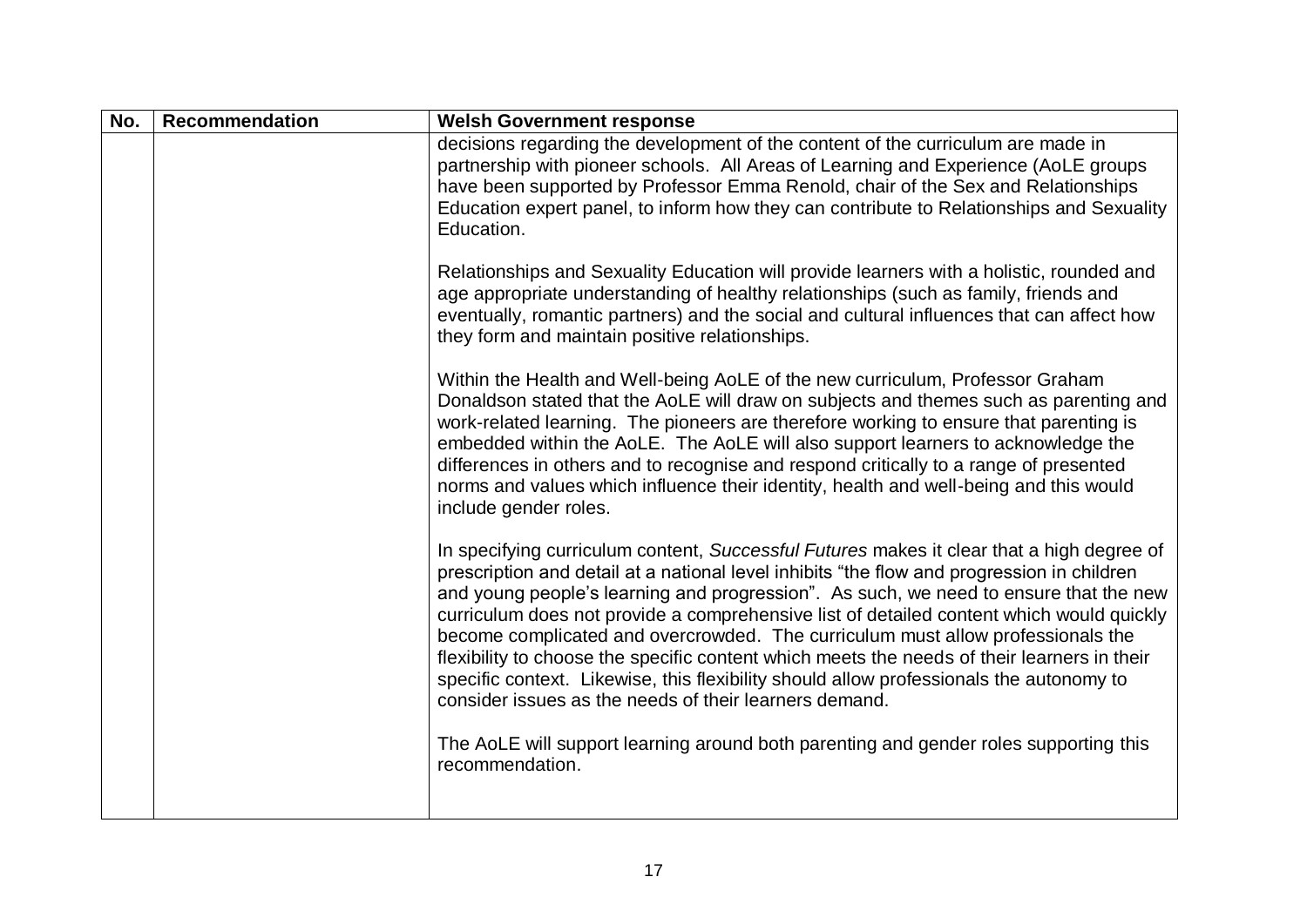| No. | <b>Recommendation</b> | <b>Welsh Government response</b>                                                                                                                                                                                                                                                                                                                                                                                                                                                                                                                                                                                                                                                                                    |
|-----|-----------------------|---------------------------------------------------------------------------------------------------------------------------------------------------------------------------------------------------------------------------------------------------------------------------------------------------------------------------------------------------------------------------------------------------------------------------------------------------------------------------------------------------------------------------------------------------------------------------------------------------------------------------------------------------------------------------------------------------------------------|
|     |                       | decisions regarding the development of the content of the curriculum are made in<br>partnership with pioneer schools. All Areas of Learning and Experience (AoLE groups<br>have been supported by Professor Emma Renold, chair of the Sex and Relationships<br>Education expert panel, to inform how they can contribute to Relationships and Sexuality<br>Education.                                                                                                                                                                                                                                                                                                                                               |
|     |                       | Relationships and Sexuality Education will provide learners with a holistic, rounded and<br>age appropriate understanding of healthy relationships (such as family, friends and<br>eventually, romantic partners) and the social and cultural influences that can affect how<br>they form and maintain positive relationships.                                                                                                                                                                                                                                                                                                                                                                                      |
|     |                       | Within the Health and Well-being AoLE of the new curriculum, Professor Graham<br>Donaldson stated that the AoLE will draw on subjects and themes such as parenting and<br>work-related learning. The pioneers are therefore working to ensure that parenting is<br>embedded within the AoLE. The AoLE will also support learners to acknowledge the<br>differences in others and to recognise and respond critically to a range of presented<br>norms and values which influence their identity, health and well-being and this would<br>include gender roles.                                                                                                                                                      |
|     |                       | In specifying curriculum content, Successful Futures makes it clear that a high degree of<br>prescription and detail at a national level inhibits "the flow and progression in children<br>and young people's learning and progression". As such, we need to ensure that the new<br>curriculum does not provide a comprehensive list of detailed content which would quickly<br>become complicated and overcrowded. The curriculum must allow professionals the<br>flexibility to choose the specific content which meets the needs of their learners in their<br>specific context. Likewise, this flexibility should allow professionals the autonomy to<br>consider issues as the needs of their learners demand. |
|     |                       | The AoLE will support learning around both parenting and gender roles supporting this<br>recommendation.                                                                                                                                                                                                                                                                                                                                                                                                                                                                                                                                                                                                            |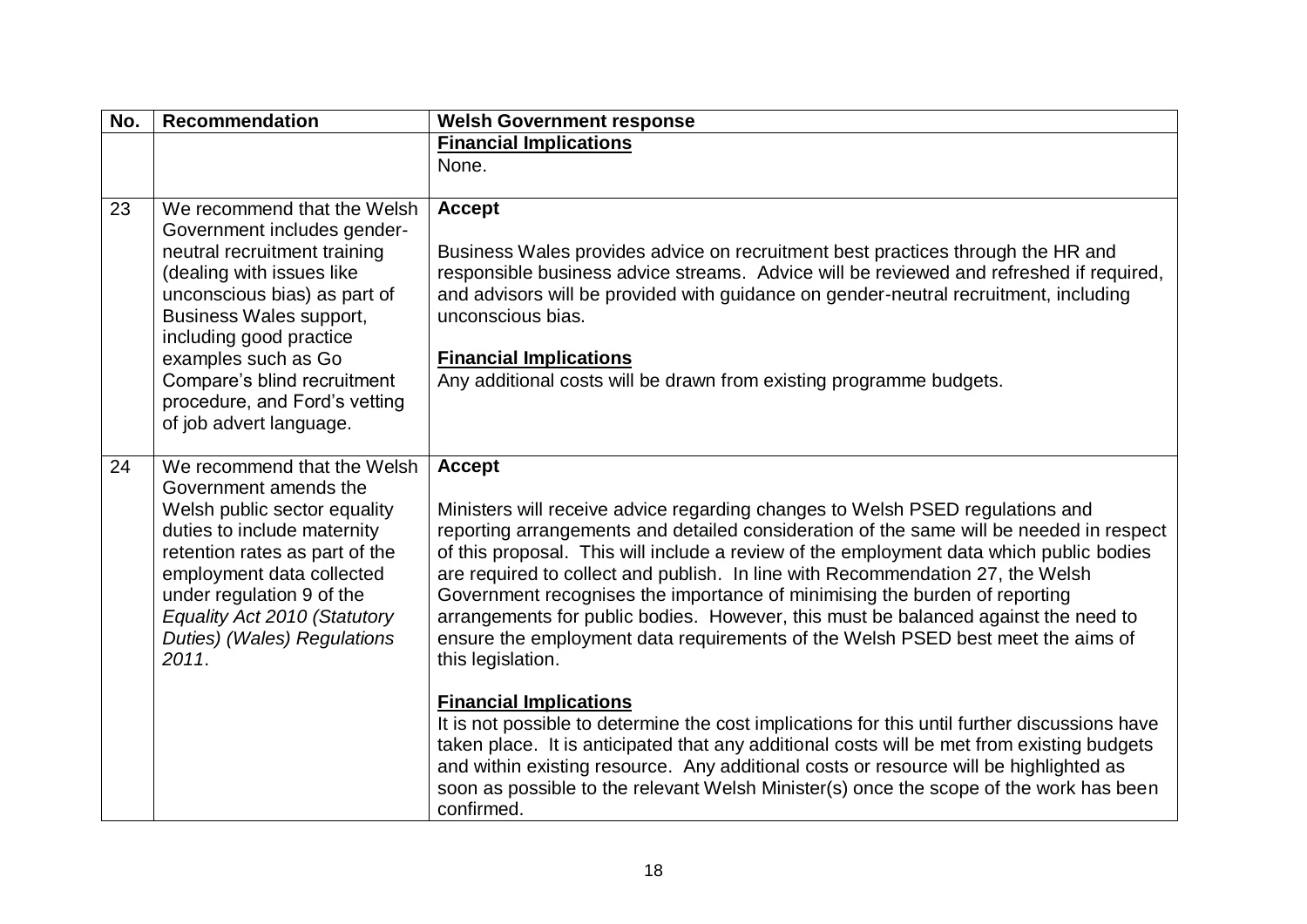| No. | <b>Recommendation</b>                                                                                                                                                                                                                                                                                                           | <b>Welsh Government response</b>                                                                                                                                                                                                                                                                                                                                                                                                                                                                                                                                                                                                                                                                                                                                                                                                                                                                                                                                                                                                                                                    |
|-----|---------------------------------------------------------------------------------------------------------------------------------------------------------------------------------------------------------------------------------------------------------------------------------------------------------------------------------|-------------------------------------------------------------------------------------------------------------------------------------------------------------------------------------------------------------------------------------------------------------------------------------------------------------------------------------------------------------------------------------------------------------------------------------------------------------------------------------------------------------------------------------------------------------------------------------------------------------------------------------------------------------------------------------------------------------------------------------------------------------------------------------------------------------------------------------------------------------------------------------------------------------------------------------------------------------------------------------------------------------------------------------------------------------------------------------|
|     |                                                                                                                                                                                                                                                                                                                                 | <b>Financial Implications</b>                                                                                                                                                                                                                                                                                                                                                                                                                                                                                                                                                                                                                                                                                                                                                                                                                                                                                                                                                                                                                                                       |
|     |                                                                                                                                                                                                                                                                                                                                 | None.                                                                                                                                                                                                                                                                                                                                                                                                                                                                                                                                                                                                                                                                                                                                                                                                                                                                                                                                                                                                                                                                               |
| 23  | We recommend that the Welsh<br>Government includes gender-<br>neutral recruitment training<br>(dealing with issues like<br>unconscious bias) as part of<br>Business Wales support,<br>including good practice<br>examples such as Go<br>Compare's blind recruitment<br>procedure, and Ford's vetting<br>of job advert language. | <b>Accept</b><br>Business Wales provides advice on recruitment best practices through the HR and<br>responsible business advice streams. Advice will be reviewed and refreshed if required,<br>and advisors will be provided with guidance on gender-neutral recruitment, including<br>unconscious bias.<br><b>Financial Implications</b><br>Any additional costs will be drawn from existing programme budgets.                                                                                                                                                                                                                                                                                                                                                                                                                                                                                                                                                                                                                                                                    |
| 24  | We recommend that the Welsh<br>Government amends the<br>Welsh public sector equality<br>duties to include maternity<br>retention rates as part of the<br>employment data collected<br>under regulation 9 of the<br>Equality Act 2010 (Statutory<br>Duties) (Wales) Regulations<br>2011.                                         | <b>Accept</b><br>Ministers will receive advice regarding changes to Welsh PSED regulations and<br>reporting arrangements and detailed consideration of the same will be needed in respect<br>of this proposal. This will include a review of the employment data which public bodies<br>are required to collect and publish. In line with Recommendation 27, the Welsh<br>Government recognises the importance of minimising the burden of reporting<br>arrangements for public bodies. However, this must be balanced against the need to<br>ensure the employment data requirements of the Welsh PSED best meet the aims of<br>this legislation.<br><b>Financial Implications</b><br>It is not possible to determine the cost implications for this until further discussions have<br>taken place. It is anticipated that any additional costs will be met from existing budgets<br>and within existing resource. Any additional costs or resource will be highlighted as<br>soon as possible to the relevant Welsh Minister(s) once the scope of the work has been<br>confirmed. |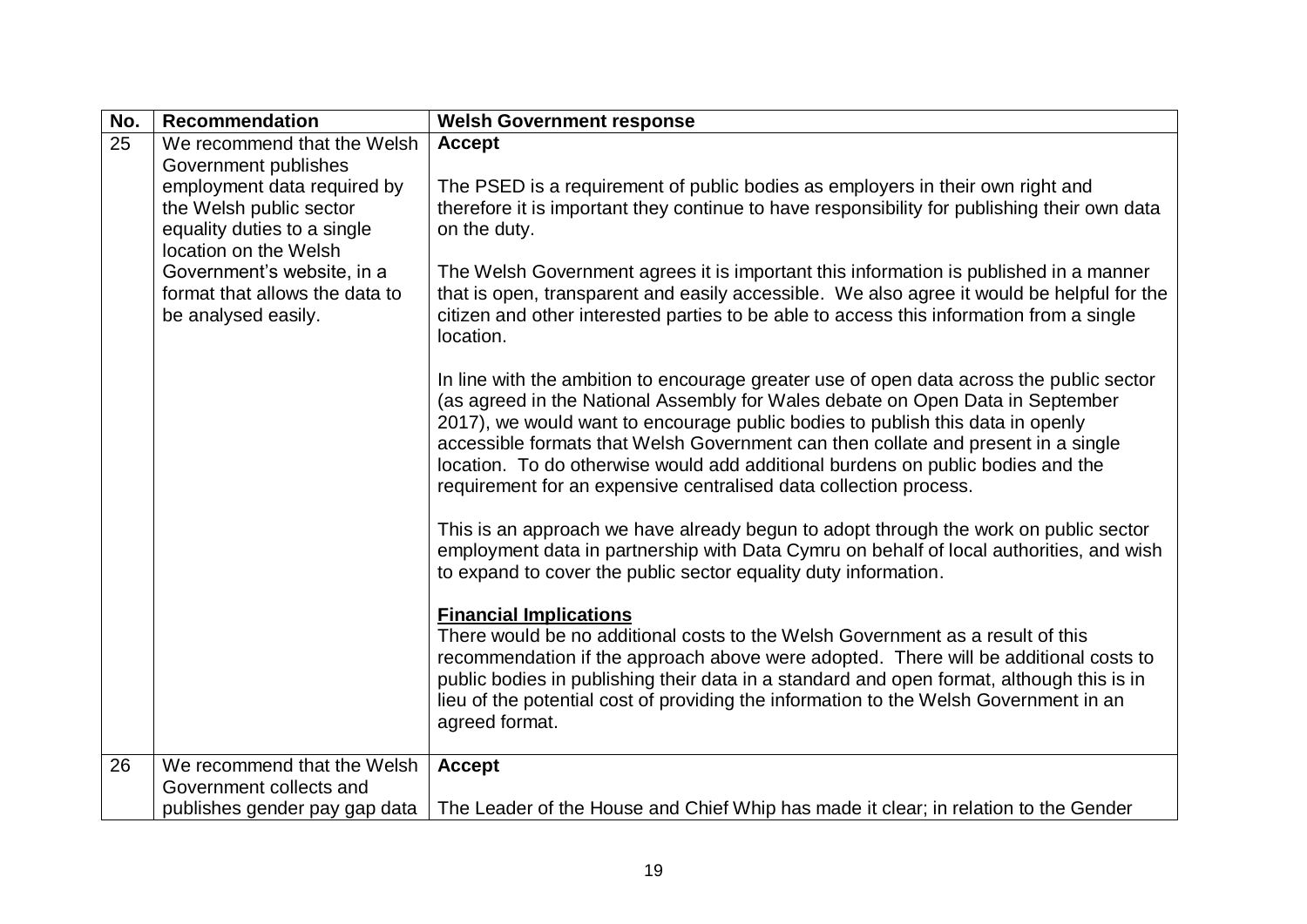| No. | <b>Recommendation</b>                                                                                                                  | <b>Welsh Government response</b>                                                                                                                                                                                                                                                                                                                                                                                                                                                                          |
|-----|----------------------------------------------------------------------------------------------------------------------------------------|-----------------------------------------------------------------------------------------------------------------------------------------------------------------------------------------------------------------------------------------------------------------------------------------------------------------------------------------------------------------------------------------------------------------------------------------------------------------------------------------------------------|
| 25  | We recommend that the Welsh                                                                                                            | <b>Accept</b>                                                                                                                                                                                                                                                                                                                                                                                                                                                                                             |
|     | Government publishes<br>employment data required by<br>the Welsh public sector<br>equality duties to a single<br>location on the Welsh | The PSED is a requirement of public bodies as employers in their own right and<br>therefore it is important they continue to have responsibility for publishing their own data<br>on the duty.                                                                                                                                                                                                                                                                                                            |
|     | Government's website, in a<br>format that allows the data to<br>be analysed easily.                                                    | The Welsh Government agrees it is important this information is published in a manner<br>that is open, transparent and easily accessible. We also agree it would be helpful for the<br>citizen and other interested parties to be able to access this information from a single<br>location.                                                                                                                                                                                                              |
|     |                                                                                                                                        | In line with the ambition to encourage greater use of open data across the public sector<br>(as agreed in the National Assembly for Wales debate on Open Data in September<br>2017), we would want to encourage public bodies to publish this data in openly<br>accessible formats that Welsh Government can then collate and present in a single<br>location. To do otherwise would add additional burdens on public bodies and the<br>requirement for an expensive centralised data collection process. |
|     |                                                                                                                                        | This is an approach we have already begun to adopt through the work on public sector<br>employment data in partnership with Data Cymru on behalf of local authorities, and wish<br>to expand to cover the public sector equality duty information.                                                                                                                                                                                                                                                        |
|     |                                                                                                                                        | <b>Financial Implications</b><br>There would be no additional costs to the Welsh Government as a result of this<br>recommendation if the approach above were adopted. There will be additional costs to<br>public bodies in publishing their data in a standard and open format, although this is in<br>lieu of the potential cost of providing the information to the Welsh Government in an<br>agreed format.                                                                                           |
| 26  | We recommend that the Welsh                                                                                                            | <b>Accept</b>                                                                                                                                                                                                                                                                                                                                                                                                                                                                                             |
|     | Government collects and<br>publishes gender pay gap data                                                                               | The Leader of the House and Chief Whip has made it clear; in relation to the Gender                                                                                                                                                                                                                                                                                                                                                                                                                       |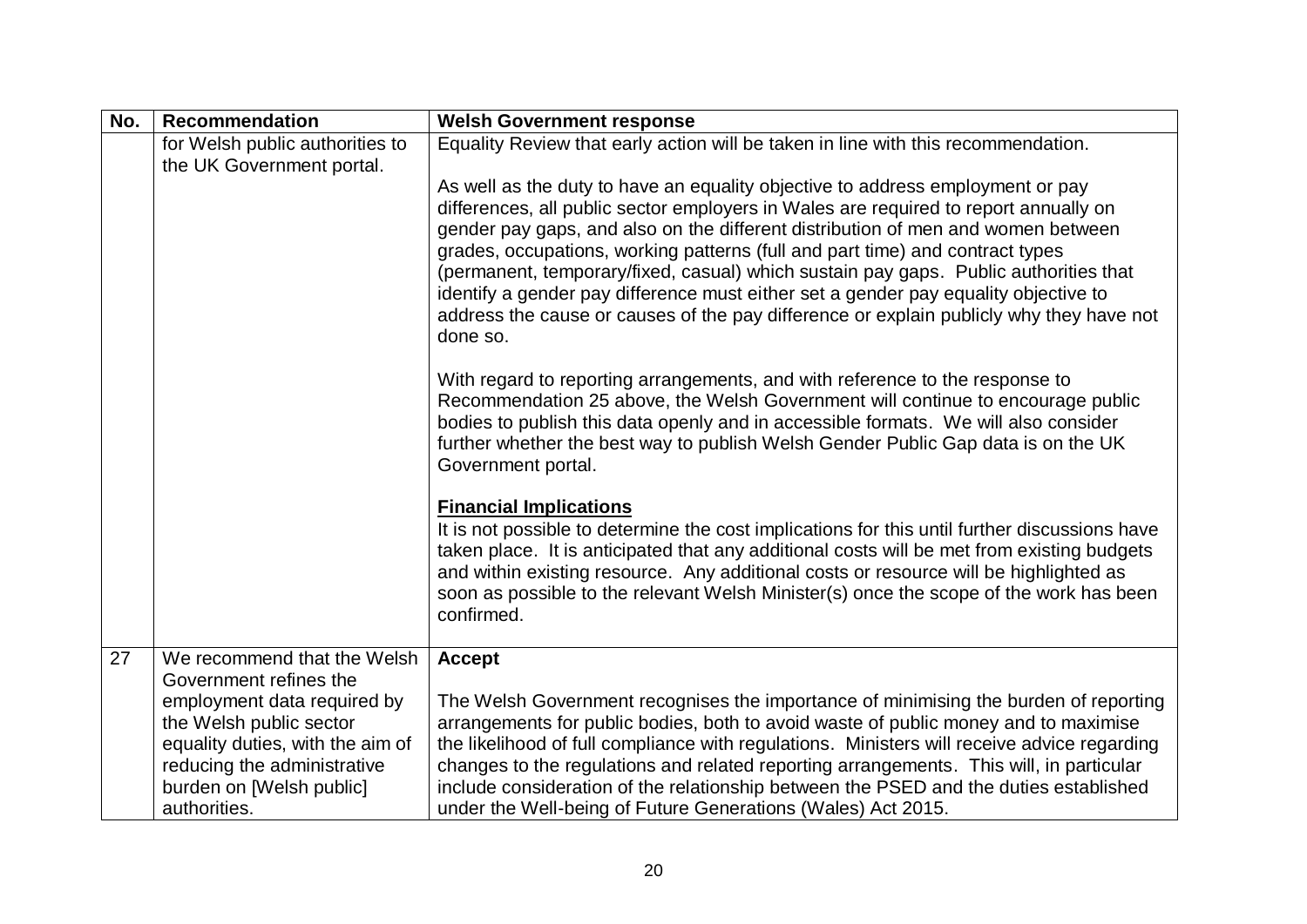| No. | <b>Recommendation</b>                                           | <b>Welsh Government response</b>                                                                                                                                                 |
|-----|-----------------------------------------------------------------|----------------------------------------------------------------------------------------------------------------------------------------------------------------------------------|
|     | for Welsh public authorities to                                 | Equality Review that early action will be taken in line with this recommendation.                                                                                                |
|     | the UK Government portal.                                       |                                                                                                                                                                                  |
|     |                                                                 | As well as the duty to have an equality objective to address employment or pay                                                                                                   |
|     |                                                                 | differences, all public sector employers in Wales are required to report annually on<br>gender pay gaps, and also on the different distribution of men and women between         |
|     |                                                                 | grades, occupations, working patterns (full and part time) and contract types                                                                                                    |
|     |                                                                 | (permanent, temporary/fixed, casual) which sustain pay gaps. Public authorities that                                                                                             |
|     |                                                                 | identify a gender pay difference must either set a gender pay equality objective to                                                                                              |
|     |                                                                 | address the cause or causes of the pay difference or explain publicly why they have not                                                                                          |
|     |                                                                 | done so.                                                                                                                                                                         |
|     |                                                                 | With regard to reporting arrangements, and with reference to the response to                                                                                                     |
|     |                                                                 | Recommendation 25 above, the Welsh Government will continue to encourage public                                                                                                  |
|     |                                                                 | bodies to publish this data openly and in accessible formats. We will also consider                                                                                              |
|     |                                                                 | further whether the best way to publish Welsh Gender Public Gap data is on the UK                                                                                                |
|     |                                                                 | Government portal.                                                                                                                                                               |
|     |                                                                 | <b>Financial Implications</b>                                                                                                                                                    |
|     |                                                                 | It is not possible to determine the cost implications for this until further discussions have                                                                                    |
|     |                                                                 | taken place. It is anticipated that any additional costs will be met from existing budgets                                                                                       |
|     |                                                                 | and within existing resource. Any additional costs or resource will be highlighted as                                                                                            |
|     |                                                                 | soon as possible to the relevant Welsh Minister(s) once the scope of the work has been<br>confirmed.                                                                             |
|     |                                                                 |                                                                                                                                                                                  |
| 27  | We recommend that the Welsh                                     | <b>Accept</b>                                                                                                                                                                    |
|     | Government refines the                                          |                                                                                                                                                                                  |
|     | employment data required by                                     | The Welsh Government recognises the importance of minimising the burden of reporting                                                                                             |
|     | the Welsh public sector                                         | arrangements for public bodies, both to avoid waste of public money and to maximise                                                                                              |
|     | equality duties, with the aim of<br>reducing the administrative | the likelihood of full compliance with regulations. Ministers will receive advice regarding                                                                                      |
|     | burden on [Welsh public]                                        | changes to the regulations and related reporting arrangements. This will, in particular<br>include consideration of the relationship between the PSED and the duties established |
|     | authorities.                                                    | under the Well-being of Future Generations (Wales) Act 2015.                                                                                                                     |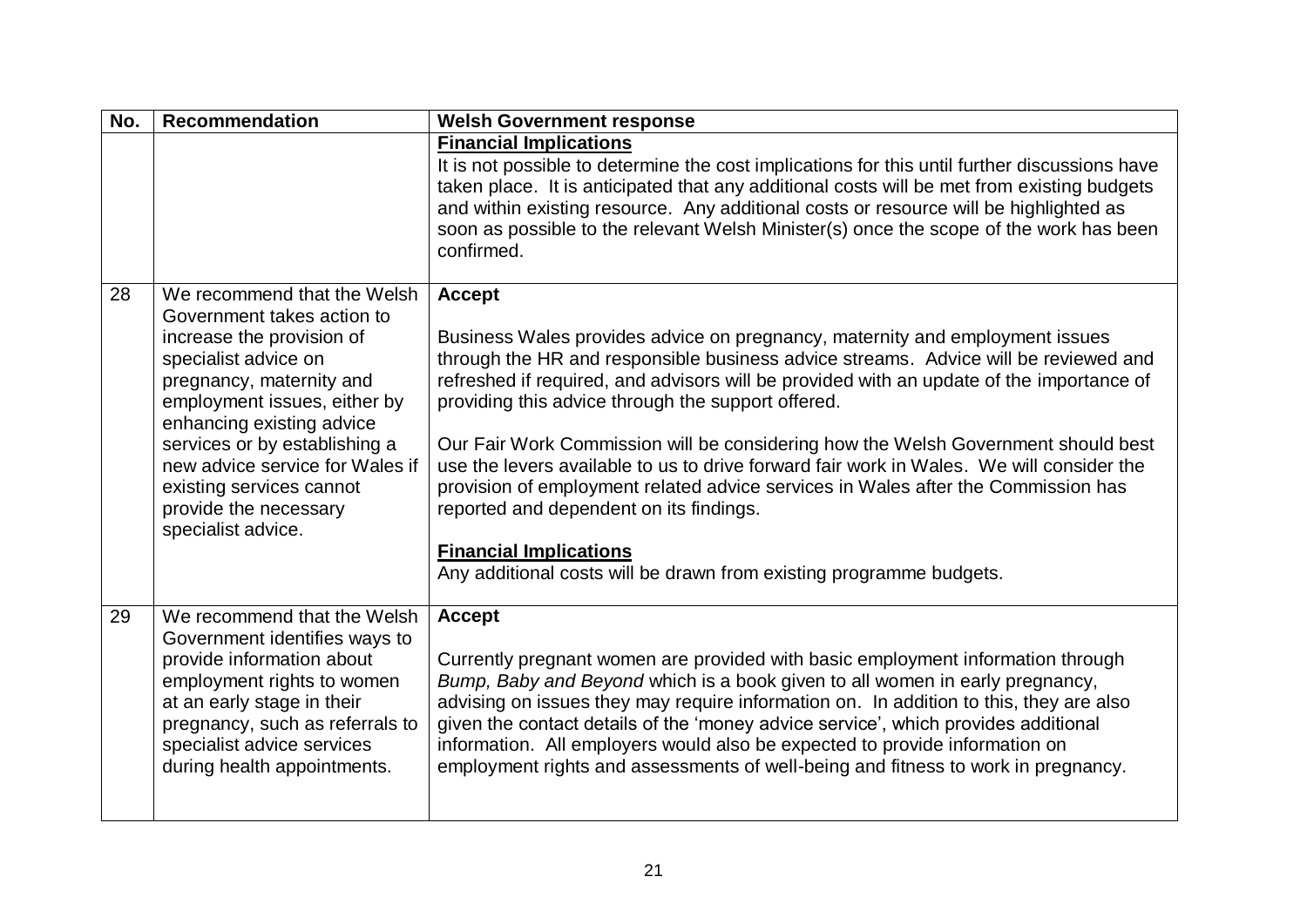| No. | <b>Recommendation</b>                                                                                                                                                                                                                                                                                                                                  | <b>Welsh Government response</b>                                                                                                                                                                                                                                                                                                                                                                                                                                                                                                                                                                                                                                                                                                                                |
|-----|--------------------------------------------------------------------------------------------------------------------------------------------------------------------------------------------------------------------------------------------------------------------------------------------------------------------------------------------------------|-----------------------------------------------------------------------------------------------------------------------------------------------------------------------------------------------------------------------------------------------------------------------------------------------------------------------------------------------------------------------------------------------------------------------------------------------------------------------------------------------------------------------------------------------------------------------------------------------------------------------------------------------------------------------------------------------------------------------------------------------------------------|
|     |                                                                                                                                                                                                                                                                                                                                                        | <b>Financial Implications</b><br>It is not possible to determine the cost implications for this until further discussions have<br>taken place. It is anticipated that any additional costs will be met from existing budgets<br>and within existing resource. Any additional costs or resource will be highlighted as<br>soon as possible to the relevant Welsh Minister(s) once the scope of the work has been<br>confirmed.                                                                                                                                                                                                                                                                                                                                   |
| 28  | We recommend that the Welsh<br>Government takes action to<br>increase the provision of<br>specialist advice on<br>pregnancy, maternity and<br>employment issues, either by<br>enhancing existing advice<br>services or by establishing a<br>new advice service for Wales if<br>existing services cannot<br>provide the necessary<br>specialist advice. | <b>Accept</b><br>Business Wales provides advice on pregnancy, maternity and employment issues<br>through the HR and responsible business advice streams. Advice will be reviewed and<br>refreshed if required, and advisors will be provided with an update of the importance of<br>providing this advice through the support offered.<br>Our Fair Work Commission will be considering how the Welsh Government should best<br>use the levers available to us to drive forward fair work in Wales. We will consider the<br>provision of employment related advice services in Wales after the Commission has<br>reported and dependent on its findings.<br><b>Financial Implications</b><br>Any additional costs will be drawn from existing programme budgets. |
| 29  | We recommend that the Welsh<br>Government identifies ways to<br>provide information about<br>employment rights to women<br>at an early stage in their<br>pregnancy, such as referrals to<br>specialist advice services<br>during health appointments.                                                                                                  | <b>Accept</b><br>Currently pregnant women are provided with basic employment information through<br>Bump, Baby and Beyond which is a book given to all women in early pregnancy,<br>advising on issues they may require information on. In addition to this, they are also<br>given the contact details of the 'money advice service', which provides additional<br>information. All employers would also be expected to provide information on<br>employment rights and assessments of well-being and fitness to work in pregnancy.                                                                                                                                                                                                                            |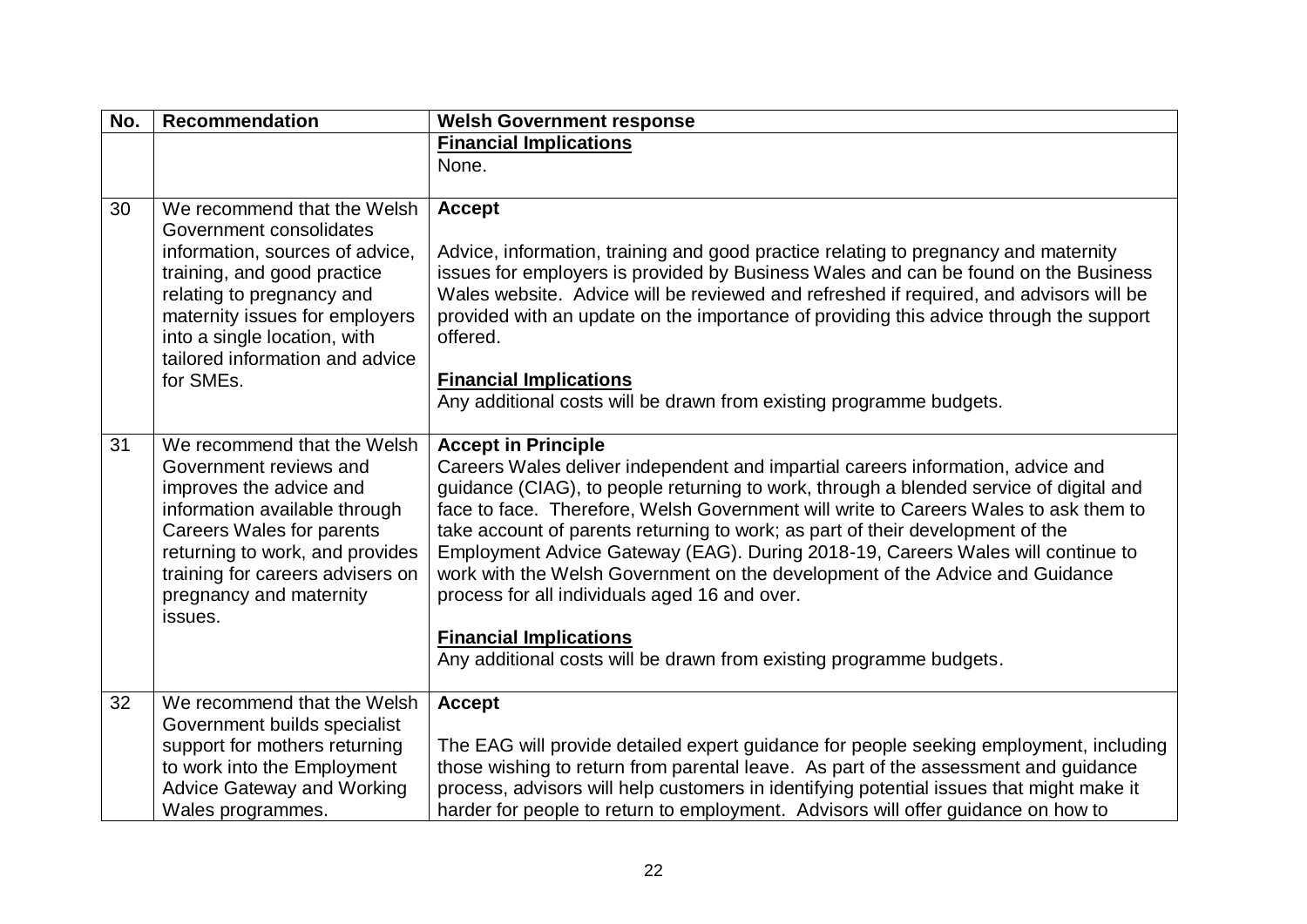| No. | <b>Recommendation</b>                                                                                                                                                                                                                                                   | <b>Welsh Government response</b>                                                                                                                                                                                                                                                                                                                                                                                                                                                                                                                                                                                                                                                                              |
|-----|-------------------------------------------------------------------------------------------------------------------------------------------------------------------------------------------------------------------------------------------------------------------------|---------------------------------------------------------------------------------------------------------------------------------------------------------------------------------------------------------------------------------------------------------------------------------------------------------------------------------------------------------------------------------------------------------------------------------------------------------------------------------------------------------------------------------------------------------------------------------------------------------------------------------------------------------------------------------------------------------------|
|     |                                                                                                                                                                                                                                                                         | <b>Financial Implications</b>                                                                                                                                                                                                                                                                                                                                                                                                                                                                                                                                                                                                                                                                                 |
|     |                                                                                                                                                                                                                                                                         | None.                                                                                                                                                                                                                                                                                                                                                                                                                                                                                                                                                                                                                                                                                                         |
| 30  | We recommend that the Welsh<br>Government consolidates<br>information, sources of advice,<br>training, and good practice<br>relating to pregnancy and<br>maternity issues for employers<br>into a single location, with<br>tailored information and advice<br>for SMEs. | <b>Accept</b><br>Advice, information, training and good practice relating to pregnancy and maternity<br>issues for employers is provided by Business Wales and can be found on the Business<br>Wales website. Advice will be reviewed and refreshed if required, and advisors will be<br>provided with an update on the importance of providing this advice through the support<br>offered.<br><b>Financial Implications</b><br>Any additional costs will be drawn from existing programme budgets.                                                                                                                                                                                                           |
| 31  | We recommend that the Welsh<br>Government reviews and<br>improves the advice and<br>information available through<br><b>Careers Wales for parents</b><br>returning to work, and provides<br>training for careers advisers on<br>pregnancy and maternity<br>issues.      | <b>Accept in Principle</b><br>Careers Wales deliver independent and impartial careers information, advice and<br>guidance (CIAG), to people returning to work, through a blended service of digital and<br>face to face. Therefore, Welsh Government will write to Careers Wales to ask them to<br>take account of parents returning to work; as part of their development of the<br>Employment Advice Gateway (EAG). During 2018-19, Careers Wales will continue to<br>work with the Welsh Government on the development of the Advice and Guidance<br>process for all individuals aged 16 and over.<br><b>Financial Implications</b><br>Any additional costs will be drawn from existing programme budgets. |
| 32  | We recommend that the Welsh<br>Government builds specialist<br>support for mothers returning<br>to work into the Employment<br><b>Advice Gateway and Working</b><br>Wales programmes.                                                                                   | <b>Accept</b><br>The EAG will provide detailed expert guidance for people seeking employment, including<br>those wishing to return from parental leave. As part of the assessment and guidance<br>process, advisors will help customers in identifying potential issues that might make it<br>harder for people to return to employment. Advisors will offer guidance on how to                                                                                                                                                                                                                                                                                                                               |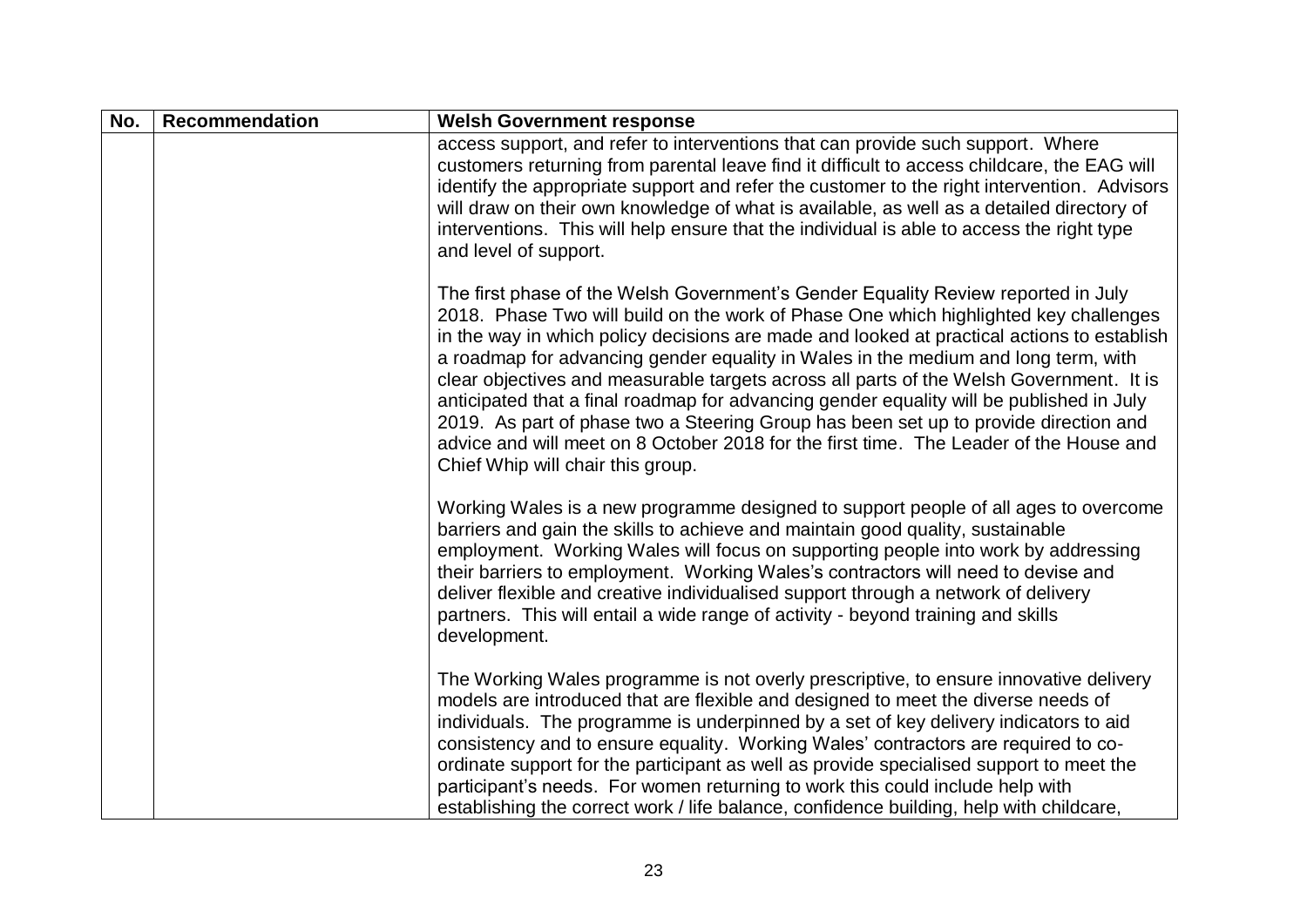| No. | <b>Recommendation</b> | <b>Welsh Government response</b>                                                                                                                                                                                                                                                                                                                                                                                                                                                                                                                                                                                                                                                                                                                                            |
|-----|-----------------------|-----------------------------------------------------------------------------------------------------------------------------------------------------------------------------------------------------------------------------------------------------------------------------------------------------------------------------------------------------------------------------------------------------------------------------------------------------------------------------------------------------------------------------------------------------------------------------------------------------------------------------------------------------------------------------------------------------------------------------------------------------------------------------|
|     |                       | access support, and refer to interventions that can provide such support. Where<br>customers returning from parental leave find it difficult to access childcare, the EAG will<br>identify the appropriate support and refer the customer to the right intervention. Advisors<br>will draw on their own knowledge of what is available, as well as a detailed directory of<br>interventions. This will help ensure that the individual is able to access the right type<br>and level of support.                                                                                                                                                                                                                                                                            |
|     |                       | The first phase of the Welsh Government's Gender Equality Review reported in July<br>2018. Phase Two will build on the work of Phase One which highlighted key challenges<br>in the way in which policy decisions are made and looked at practical actions to establish<br>a roadmap for advancing gender equality in Wales in the medium and long term, with<br>clear objectives and measurable targets across all parts of the Welsh Government. It is<br>anticipated that a final roadmap for advancing gender equality will be published in July<br>2019. As part of phase two a Steering Group has been set up to provide direction and<br>advice and will meet on 8 October 2018 for the first time. The Leader of the House and<br>Chief Whip will chair this group. |
|     |                       | Working Wales is a new programme designed to support people of all ages to overcome<br>barriers and gain the skills to achieve and maintain good quality, sustainable<br>employment. Working Wales will focus on supporting people into work by addressing<br>their barriers to employment. Working Wales's contractors will need to devise and<br>deliver flexible and creative individualised support through a network of delivery<br>partners. This will entail a wide range of activity - beyond training and skills<br>development.                                                                                                                                                                                                                                   |
|     |                       | The Working Wales programme is not overly prescriptive, to ensure innovative delivery<br>models are introduced that are flexible and designed to meet the diverse needs of<br>individuals. The programme is underpinned by a set of key delivery indicators to aid<br>consistency and to ensure equality. Working Wales' contractors are required to co-<br>ordinate support for the participant as well as provide specialised support to meet the<br>participant's needs. For women returning to work this could include help with<br>establishing the correct work / life balance, confidence building, help with childcare,                                                                                                                                             |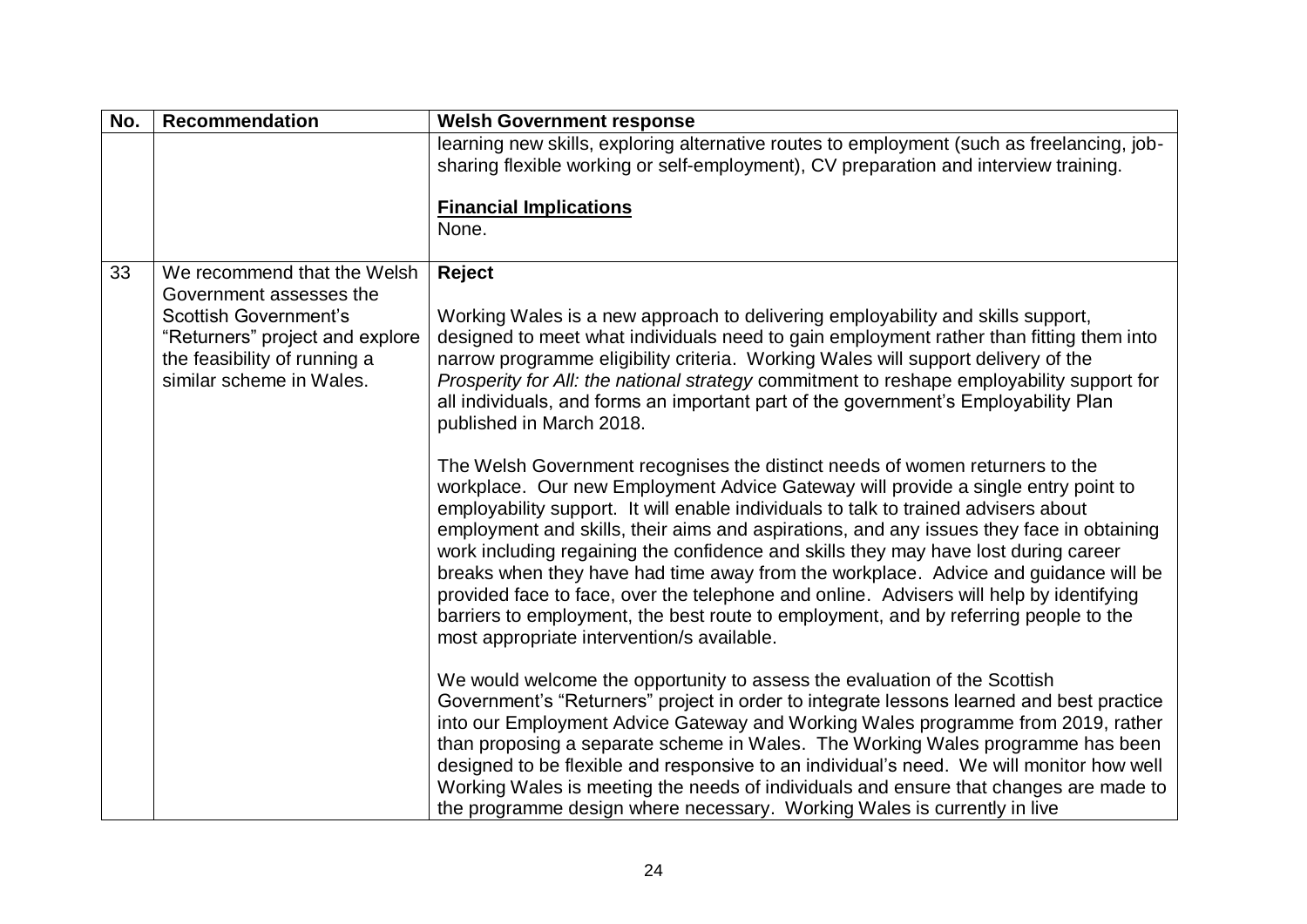| No. | <b>Recommendation</b>                                    | <b>Welsh Government response</b>                                                                                                                                                |
|-----|----------------------------------------------------------|---------------------------------------------------------------------------------------------------------------------------------------------------------------------------------|
|     |                                                          | learning new skills, exploring alternative routes to employment (such as freelancing, job-                                                                                      |
|     |                                                          | sharing flexible working or self-employment), CV preparation and interview training.                                                                                            |
|     |                                                          | <b>Financial Implications</b>                                                                                                                                                   |
|     |                                                          | None.                                                                                                                                                                           |
|     |                                                          |                                                                                                                                                                                 |
| 33  | We recommend that the Welsh                              | Reject                                                                                                                                                                          |
|     | Government assesses the                                  |                                                                                                                                                                                 |
|     | <b>Scottish Government's</b>                             | Working Wales is a new approach to delivering employability and skills support,                                                                                                 |
|     | "Returners" project and explore                          | designed to meet what individuals need to gain employment rather than fitting them into                                                                                         |
|     | the feasibility of running a<br>similar scheme in Wales. | narrow programme eligibility criteria. Working Wales will support delivery of the<br>Prosperity for All: the national strategy commitment to reshape employability support for  |
|     |                                                          | all individuals, and forms an important part of the government's Employability Plan                                                                                             |
|     |                                                          | published in March 2018.                                                                                                                                                        |
|     |                                                          |                                                                                                                                                                                 |
|     |                                                          | The Welsh Government recognises the distinct needs of women returners to the                                                                                                    |
|     |                                                          | workplace. Our new Employment Advice Gateway will provide a single entry point to                                                                                               |
|     |                                                          | employability support. It will enable individuals to talk to trained advisers about                                                                                             |
|     |                                                          | employment and skills, their aims and aspirations, and any issues they face in obtaining<br>work including regaining the confidence and skills they may have lost during career |
|     |                                                          | breaks when they have had time away from the workplace. Advice and guidance will be                                                                                             |
|     |                                                          | provided face to face, over the telephone and online. Advisers will help by identifying                                                                                         |
|     |                                                          | barriers to employment, the best route to employment, and by referring people to the                                                                                            |
|     |                                                          | most appropriate intervention/s available.                                                                                                                                      |
|     |                                                          |                                                                                                                                                                                 |
|     |                                                          | We would welcome the opportunity to assess the evaluation of the Scottish                                                                                                       |
|     |                                                          | Government's "Returners" project in order to integrate lessons learned and best practice<br>into our Employment Advice Gateway and Working Wales programme from 2019, rather    |
|     |                                                          | than proposing a separate scheme in Wales. The Working Wales programme has been                                                                                                 |
|     |                                                          | designed to be flexible and responsive to an individual's need. We will monitor how well                                                                                        |
|     |                                                          | Working Wales is meeting the needs of individuals and ensure that changes are made to                                                                                           |
|     |                                                          | the programme design where necessary. Working Wales is currently in live                                                                                                        |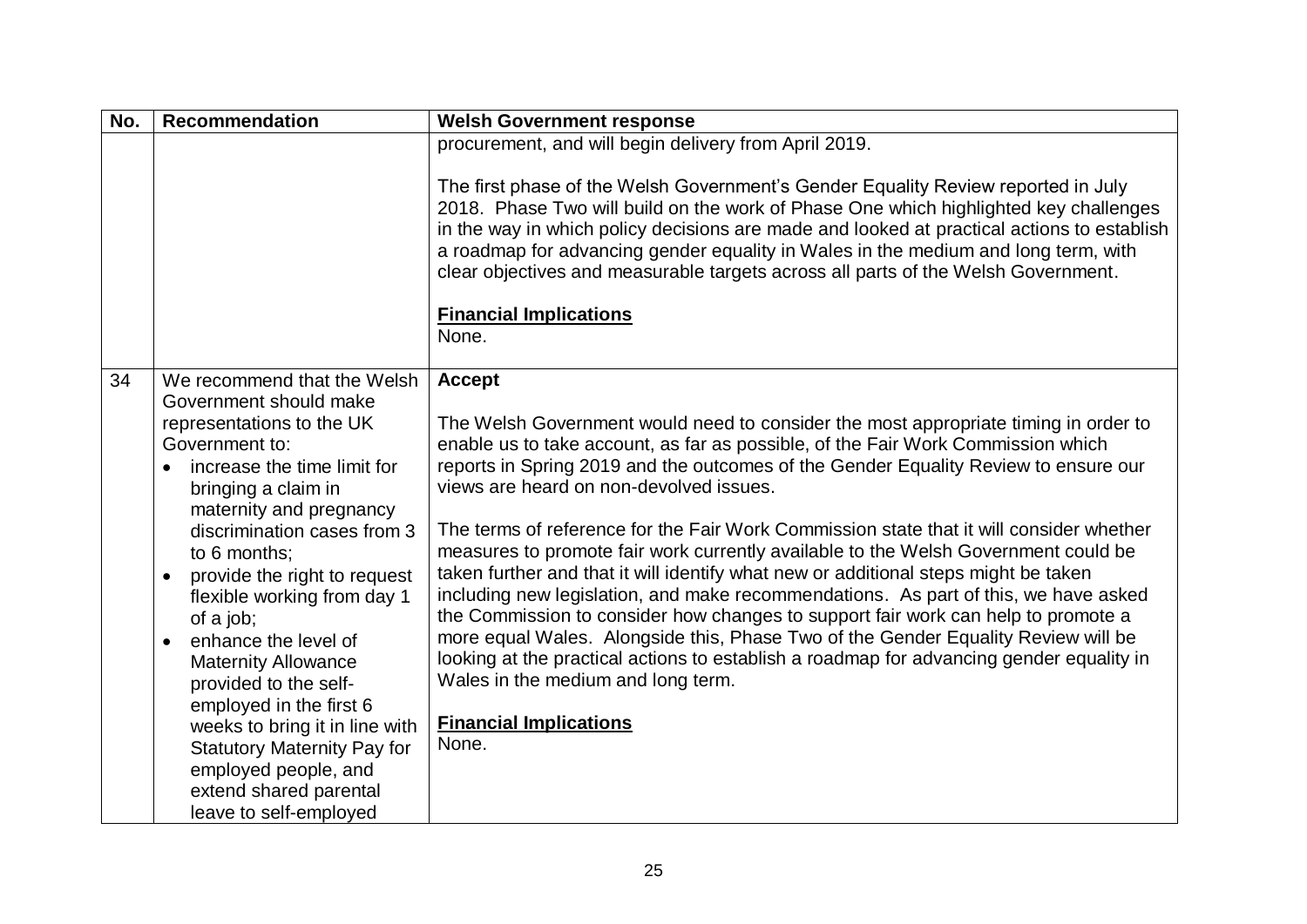| No. | <b>Recommendation</b>                                                                                                                                                                                                                                                                                                                                                                                                                                                                                                                                                                                                 | <b>Welsh Government response</b>                                                                                                                                                                                                                                                                                                                                                                                                                                                                                                                                                                                                                                                                                                                                                                                                                                                                                                                                                                                                                |
|-----|-----------------------------------------------------------------------------------------------------------------------------------------------------------------------------------------------------------------------------------------------------------------------------------------------------------------------------------------------------------------------------------------------------------------------------------------------------------------------------------------------------------------------------------------------------------------------------------------------------------------------|-------------------------------------------------------------------------------------------------------------------------------------------------------------------------------------------------------------------------------------------------------------------------------------------------------------------------------------------------------------------------------------------------------------------------------------------------------------------------------------------------------------------------------------------------------------------------------------------------------------------------------------------------------------------------------------------------------------------------------------------------------------------------------------------------------------------------------------------------------------------------------------------------------------------------------------------------------------------------------------------------------------------------------------------------|
|     |                                                                                                                                                                                                                                                                                                                                                                                                                                                                                                                                                                                                                       | procurement, and will begin delivery from April 2019.<br>The first phase of the Welsh Government's Gender Equality Review reported in July<br>2018. Phase Two will build on the work of Phase One which highlighted key challenges<br>in the way in which policy decisions are made and looked at practical actions to establish<br>a roadmap for advancing gender equality in Wales in the medium and long term, with<br>clear objectives and measurable targets across all parts of the Welsh Government.<br><b>Financial Implications</b><br>None.                                                                                                                                                                                                                                                                                                                                                                                                                                                                                           |
| 34  | We recommend that the Welsh<br>Government should make<br>representations to the UK<br>Government to:<br>increase the time limit for<br>$\bullet$<br>bringing a claim in<br>maternity and pregnancy<br>discrimination cases from 3<br>to 6 months;<br>provide the right to request<br>$\bullet$<br>flexible working from day 1<br>of a job;<br>enhance the level of<br>$\bullet$<br><b>Maternity Allowance</b><br>provided to the self-<br>employed in the first 6<br>weeks to bring it in line with<br><b>Statutory Maternity Pay for</b><br>employed people, and<br>extend shared parental<br>leave to self-employed | <b>Accept</b><br>The Welsh Government would need to consider the most appropriate timing in order to<br>enable us to take account, as far as possible, of the Fair Work Commission which<br>reports in Spring 2019 and the outcomes of the Gender Equality Review to ensure our<br>views are heard on non-devolved issues.<br>The terms of reference for the Fair Work Commission state that it will consider whether<br>measures to promote fair work currently available to the Welsh Government could be<br>taken further and that it will identify what new or additional steps might be taken<br>including new legislation, and make recommendations. As part of this, we have asked<br>the Commission to consider how changes to support fair work can help to promote a<br>more equal Wales. Alongside this, Phase Two of the Gender Equality Review will be<br>looking at the practical actions to establish a roadmap for advancing gender equality in<br>Wales in the medium and long term.<br><b>Financial Implications</b><br>None. |